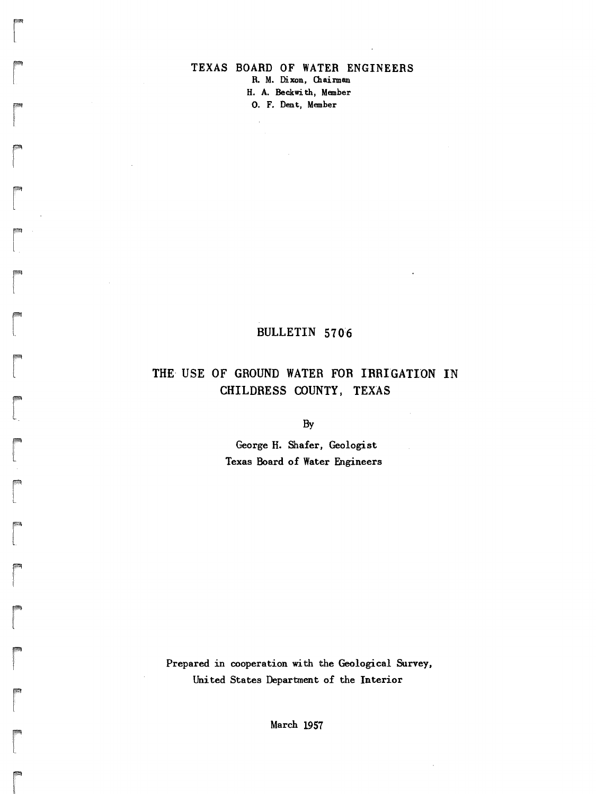### TEXAS BOARD OF WATER ENGINEERS R. M. Dixon, Chairman H. A. Beckwi th, Member O. F. Dent, Member

ration<br>|<br>|

ra 1999<br>1999 - Johann Brown, Amerikaansk kanton<br>1999 - Johann Brown, Amerikaansk kanton<br>1999 - Johann Brown, Amerikaansk kanton<br>1999 - Johann Brown, Amerikaansk kanton<br>1999 - Johann Brown, Amerikaansk kanton<br>1999 - Johann

r

r

ra<br>|<br>|-

r

range of the control of the control of the control of the control of the control of the control of the control of the control of the control of the control of the control of the control of the control of the control of the

r

range of the control of the control of the control of the control of the control of the control of the control of the control of the control of the control of the control of the control of the control of the control of the

 $\overline{a}$ 

r

ra<br>C

ra<br>|<br>|<br>|

**register**<br>1999 - Paul Barnett, amerikanischer Politiker († 1999)<br>1999 - Paul Barnett, amerikanischer Politiker († 1999)<br>1999 - Paul Barnett, amerikanischer († 1999)

ra 1999<br>1999 - Johann Brown, Amerikaansk kanton<br>1999 - Johann Brown, Amerikaansk kanton<br>1999 - Johann Brown, Amerikaansk kanton<br>1999 - Johann Brown, Amerikaansk kanton<br>1999 - Johann Brown, Amerikaansk kanton<br>1999 - Johann

r<br>Frans of the control of the control of the control of the control of the control of the control of the control of the control of the control of the control of the control of the control of the control of the control of t

ra<br>|<br>|

re de la propieta de la partie de la partie de la partie de la partie de la partie de la partie de la partie d<br>La partie de la partie de la partie de la partie de la partie de la partie de la partie de la partie de la par

r

## BULLETIN 570:6

# THE- USE OF GROUND WATER FOR IRRIGATION IN CHILDRESS COUNTY, TEXAS

By

George H. Shafer. Geologist Texas Board of Water Engineers

Prepared in cooperation with the Geological Survey, United States Department of the Interior

March 1957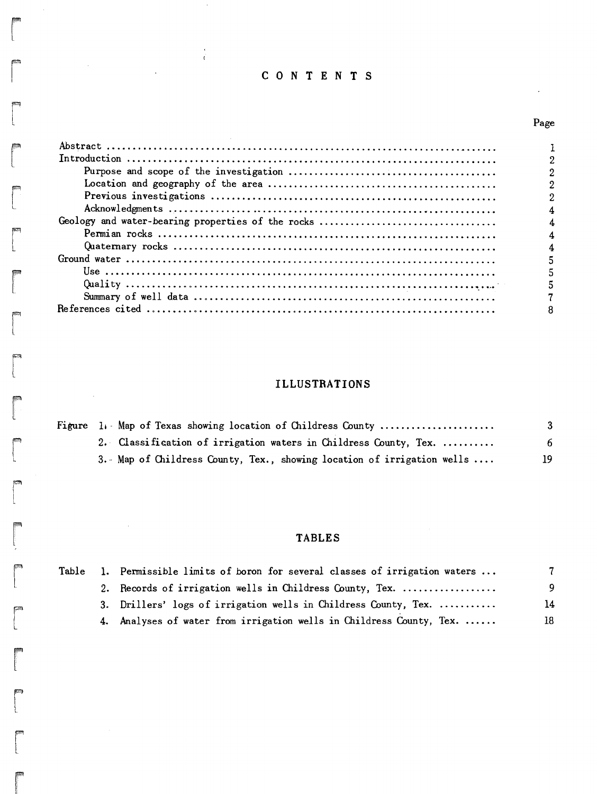# CON TEN T S

 $\frac{\epsilon}{C}$ 

 $\mathcal{L}_{\text{eff}}$ 

r

 $\sim$ 

 $\sim$   $\sim$ 

r<br>|<br>|

r<br>Frans (1985)<br>1985 - Johann Stein, Amerikaansk konstantinopolitan († 1986)<br>1988 - Johann Stein, Amerikaansk konstantinopolitan († 1988)<br>1988 - Johann Stein, Amerikaansk konstantinopolitan († 1988)<br>1988 - Johann Stein, Ame

r<br>|<br>|<br>|

**r**<br>|<br>|

**respectively** 

i<br>i l.<br>L

rena<br>|<br>|

ra<br>|<br>|

ra 1999<br>1999 - Johann Stone, Amerikaansk kantone<br>1999 - Johann Stone, Amerikaansk kantone<br>1999 - Johann Stone, Amerikaansk kantone<br>1999 - Johann Stone, Amerikaansk kantone<br>1999 - Johann Stone, Amerikaansk kantone<br>1999 - Jo

 $\sim 10^6$ 

 $\sim$   $\sim$ 

**records** 

ra de la contradición de la contradición de la contradición de la contradición de la contradición de la contra<br>Contradición de la contradición de la contradición de la contradición de la contradición de la contradición de<br>

rra and a series of the contract of the contract of the contract of the contract of the contract of the contract of the contract of the contract of the contract of the contract of the contract of the contract of the contra

**r**<br>|<br>|

 $\begin{bmatrix} 1 \\ 1 \end{bmatrix}$ 

re de la partie de la partie de la partie de la partie de la partie de la partie de la partie de la partie de<br>La partie de la partie de la partie de la partie de la partie de la partie de la partie de la partie de la par

**r** 

**reduced**<br>Links and the control of the control of the control of the control of the control of the control of the control of the control of the control of the control of the control of the control of the control of the con

ranger<br>Frankling

# Page

 $\hat{\mathcal{L}}$ 

| 4 |
|---|
|   |
|   |
|   |
|   |
|   |
|   |
|   |

# **ILLUSTRATIONS**

| Figure 1. Map of Texas showing location of Childress County            |    |
|------------------------------------------------------------------------|----|
| 2. Classification of irrigation waters in Childress County, Tex.       | 6  |
| 3. Map of Childress County, Tex., showing location of irrigation wells | 19 |

# **TABLES**

| Table | 1. Permissible limits of boron for several classes of irrigation waters |    |
|-------|-------------------------------------------------------------------------|----|
|       | 2. Records of irrigation wells in Childress County, Tex.                | 9  |
|       | 3. Drillers' logs of irrigation wells in Childress County, Tex.         | 14 |
|       | 4. Analyses of water from irrigation wells in Childress County, Tex.    | 18 |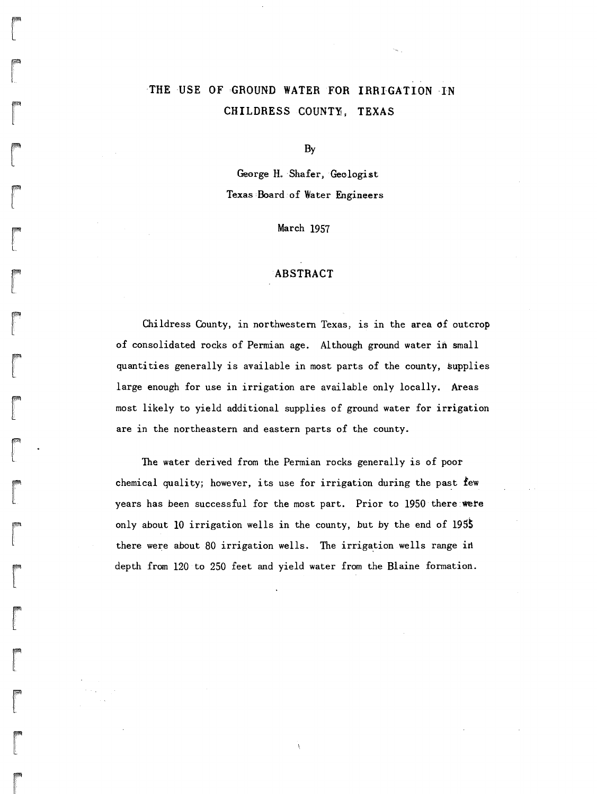# THE USE OF GROUND WATER FOR IRRIGATION IN CHILDRESS COUNTY, TEXAS

 $\begin{bmatrix} 1 & 1 \\ 1 & 1 \end{bmatrix}$ 

range<br>1990 – Singapuran<br>1990 – Singapuran Kabupatèn Kabupatèn Kabupatèn Kabupatèn Kabupatèn Kabupatèn Kabupatèn Kabupatèn Kabupatèn K

**randa**<br>|<br>|-

ra 1999<br>Particular district de la partie de la partie de la partie de la partie de la partie de la partie de la partie<br>District de la partie de la partie de la partie de la partie de la partie de la partie de la partie de

ran<br>|<br>|

r Ľ.

**randon**<br>Linda<br>Linda

r

 $\mathbf{r}$ •  $\mathbf{I}$ 

 $\begin{bmatrix} 1 \\ 1 \end{bmatrix}$ 

**r**<br>|<br>|<br>|

ra<br>Lista politika politika politika politika politika politika politika politika politika politika politika polit<br>Lista politika politika politika politika politika politika politika politika politika politika politika pol

**rand**<br>|<br>|-

ra<br>|<br>|-

rang<br>Pangangan<br>Langsangan di Pangangan di Pangangan di Pangangan di Pangangan di Pangangan di Pangangan di Pangangan di Pang

r<br>Frans of the contract of the contract of the contract of the contract of the contract of the contract of the contract of the contract of the contract of the contract of the contract of the contract of the contract of the

range of the control of the control of the control of the control of the control of the control of the control of the control of the control of the control of the control of the control of the control of the control of the

r<br>|<br>|

r

By

George H. Shafer, Geologist Texas:Board:of Water Engineers

March 1957

#### ABSTRACT

Childress County, in northwestern Texas, is in the area *of* outcrop of consolidated rocks of Permian age. Although ground water in small quantities generally is available in most parts of the county, supplies large enough for use in irrigation are available only locally. Areas most likely to yield additional supplies of ground water for irrigation are in the northeastern and eastern parts of the county.

The water derived from the Permian rocks generally is of poor chemical quality; however, its use for irrigation during the past few years has been successful for the most part. Prior to 1950 there were only about 10 irrigation wells in the county, but by the end of  $1955$ there were about 80 irrigation wells. The irrigation wells range in depth from 120 to 250 feet and yield water from the Blaine formation.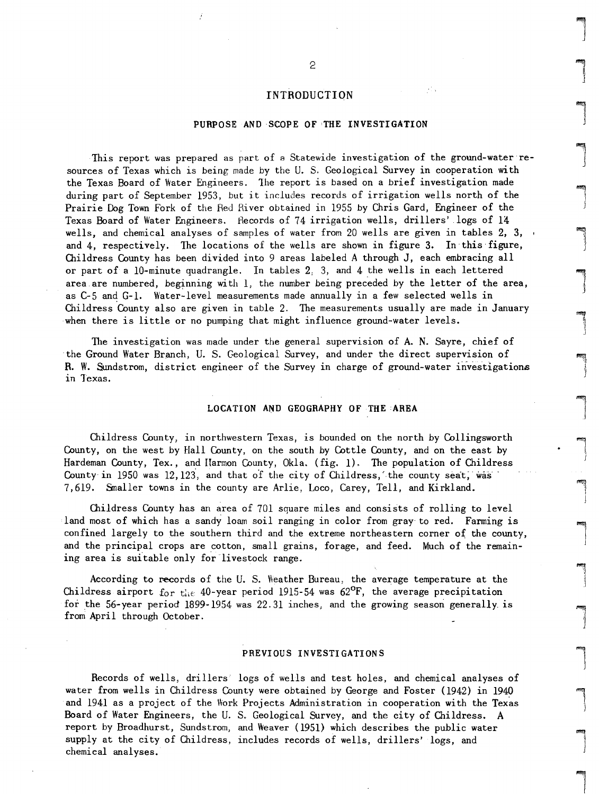#### INTRODUCTION

#### PURPOSE AND SCOPE OF 'THE INVESTIGATION

This report was prepared as part of a Statewide investigation of the ground-water resources of Texas which is being made by the U. S. Geological Survey in cooperation with the Texas Board of Water Engineers. 1he report is based on a brief investigation made during part of September 1953, but it includes records of irrigation wells north of the Prairie Dog Town Fork of the Red River obtained in 1955 by Chris Gard, Engineer of the Texas Board of Water Engineers. Hecords of 74 irrigation wells, drillers' logs of 14 wells, and chemical analyses of samples of water from 20 wells are given in tables 2, 3, and 4, respectively. The locations of the wells are shown in figure 3. In this figure, Childress County has been divided into 9 areas labeled A through J, each embracing all or part of a 10-minute quadrangle. In tables 2, 3, and 4 the wells in each lettered area are numbered, beginning with  $l$ , the number being preceded by the letter of the area, as C-5 and G-1. Water-level measurements made annually in a few selected wells in Childress County also are given in table 2. The measurements usually are made in January when there is little or no pumping that might influence ground-water levels.

The investigation was made under the general supervision of A. N. Sayre, chief of the Ground Water Branch, U. S. Geological Survey, and under the direct supervision of R. W. Sundstrom, district engineer of the Survey in charge of ground-water investigations in Texas.

#### LOCATION AND GEOGRAPHY OF THE AREA

Childress County, in northwestern Texas, is bounded on the north by Collingsworth County, on the west by Hall County, on the south by Cottle County, and on the east by Hardeman County, Tex., and Harmon County, Okla.  $(fig. 1)$ . The population of Childress County in  $1950$  was  $12,123$ , and that of the city of Childress, the county seat, was 7,619. Smaller towns in the county are Arlie, Loco, Carey, Tell, and Kirkland.

Childress County has an area of  $701$  square miles and consists of rolling to level land most of which has a sandy loam soil ranging in color from gray to red. Farming is confined largely to the southern third and the extreme northeastern corner of the county, and the principal crops are cotton, small grains, forage, and feed. Much of the remaining area is suitable only for livestock range.

According to records of the U.S. Weather Bureau, the average temperature at the Childress airport for the 40-year period 1915-54 was  $62^{\circ}F$ , the average precipitation for the 56-year period 1899-1954 was  $22.31$  inches, and the growing season generally is from April through October.

#### PREVIOUS INVESTIGATIONS

Records of wells, drillers' logs of wells and test holes, and chemical analyses of water from wells in Childress County were obtained by George and Foster (1942) in 1940 and 1941 as a project of the Work Projects Administration in cooperation with the Texas Board of Water Engineers, the U.S. Geological Survey, and the city of Childress. A report by Broadhurst, Sundstrom, and Weaver (1951) which describes the public water supply at the city of Childress, includes records of wells, drillers' logs, and chemical analyses.

l

l

 $\overline{\phantom{a}}$ 

l

l

1 )

 $\sqrt{2}$ 

 $\overline{\phantom{a}}$ 

 $\begin{array}{c} \hline \ \hline \ \hline \end{array}$ 

l

l J

l

l

l

 $\begin{array}{c}\n\hline\n\end{array}$ 

 $\begin{bmatrix} \phantom{-} \end{bmatrix}$ 

 $\begin{bmatrix} \phantom{-} \\ \phantom{-} \end{bmatrix}$ 

 $\begin{bmatrix} \n\end{bmatrix}$ 

l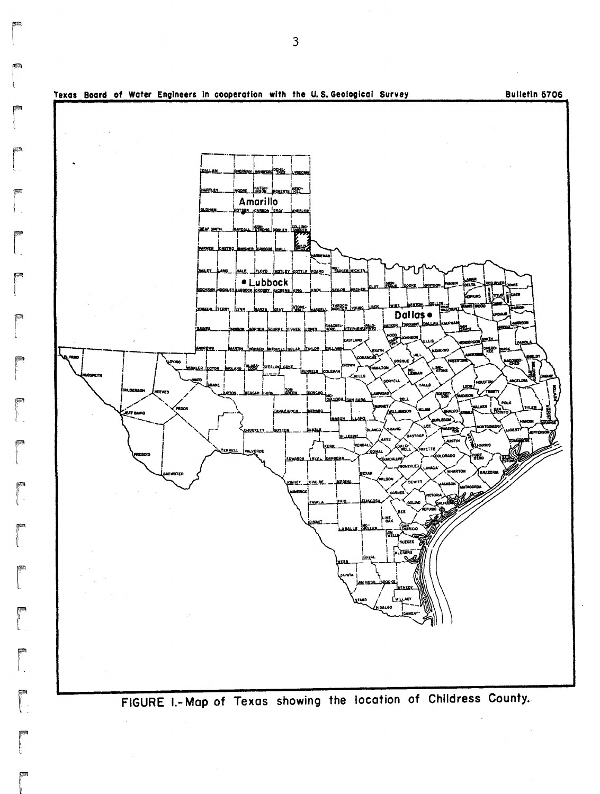

FIGURE 1.- Map of Texas showing the location of Childress County.

3

r

ran<br>|<br>| L

ransa<br>1980<br>1980

ra<br>|<br>|

**research**<br>|<br>|<br>| |

**read** 

ranger<br>1990 – Singer van die Searste van die Searste van die Searste van die Searste van die Searste van die Searste<br>1990 – Singer van die Searste van die Searste van die Searste van die Searste van die Searste van die Sea

ranger<br>Frankling<br>Frankling

**r**<br>Frans

r

ra 1999<br>|-<br>|-

read<br>|-<br>|-<br>|-

r

rra<br>Francesco<br>Francesco " .

range<br>1990 – Paris Bander<br>1990 – Paris Bander (1990 – Paris Bander (1990 – Paris Bander (1990 – Paris Bander (1990 – Paris B

range of the control of the control of the control of the control of the control of the control of the control of the control of the control of the control of the control of the control of the control of the control of the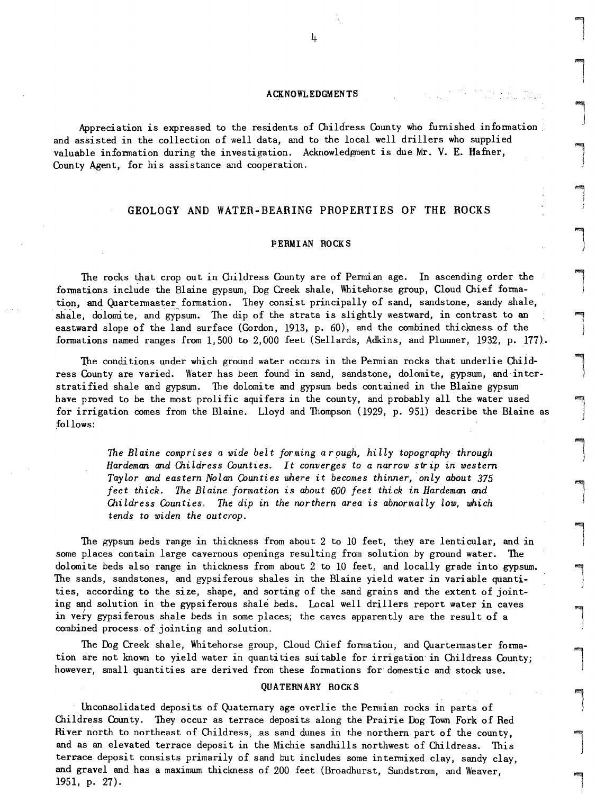#### ACKNOWLEDGMENTS

Appreciation is expressed to the residents of Childress County who furnished infomation • and assisted in the collection of well data, and to the local well drillers who supplied valuable infomation during the investigation. Acknowledgment is due Mr. V. E. Hafner, County Agent, for his assistance and cooperation.

#### GEOLOGY AND WATER-BEARING PROPERTIES OF THE ROCKS

#### PERMIAN ROCKS

The rocks that crop out in Childress County are of Pemian age. In ascending order the formations include the Blaine gypsum, Dog Creek shale, Whitehorse group, Cloud Chief formation, and Quartermaster formation. They consist principally of sand, sandstone, sandy shale, shale, dolomite, and gypsum. The dip of the strata is slightly westward, in contrast to an eastward slope of the land surface (Gordon, 1913, p. 60), and the combined thickness. of the formations named ranges from 1,500 to 2,000 feet (Sellards, Adkins, and Plummer, 1932, p. 177>..

The conditions under which ground water occurs in the Pemian rocks that underlie Childress County are varied. Water has been found in sand, sandstone, dolomite, gypsum, and interstratified shale and gypsum. The dolomite and gypsum beds contained in the Blaine gypsum have proved to be the most prolific aquifers in the county, and probably all the water used for irrigation comes from the Blaine. Lloyd and Thompson (1929, p. 951) describe the Blaine as :follows:

> *The Blaine comprises* a *wide belt forming arpugh, hilly topography through Hardeman and O1.ildress Counties. It converges to* a *narrow strip* in *western Taylor and eastern Nolan Counties where* it *becomes thinner, only about 375 feet thick. The Blaine formation is about 600 feet thick* in *Hardeman and Childress Counties. The dip* in *the northern area is abnormally low, which tends* to *widen the outcrop.*

The gypsum beds range in thickness from about 2 to 10 feet, they are lenticular, and in some places contain large cavernous openings resulting from solution by ground water. The dolomite beds also range in thickness from about 2 to 10 feet, and locally grade into gypsum. The sands, sandstones, and gypsiferous shales in the Blaine yield water in variable quantities, according to the size, shape, and sorting of the sand grains and the extent of jointing and solution in the gypsiferous shale beds. Local well drillers report water in caves in very gypsiferous shale beds in some places; the caves apparently are the result of a combined process. of jointing and solution.

The Dog Creek shale, Whitehorse group, Cloud Chief fomation, and Quartemaster formation are not known to yield water in quanti ties sui table for irrigation in Childress County; however, small quantities are derived from these formations for domestic and stock use.

#### QUATERNARY ROCKS

Unconsolidated deposits of Quaternary age overlie the Pemian rocks in parts of Childress County. They occur as terrace deposits along the Prairie Dog Town Fork of Red River north to northeast of Childress, as sand dunes in the northern part of the county, and as an elevated terrace deposit in the Michie sandhills northwest of Childress. This terrace deposit consists primarily of sand but includes some intermixed clay, sandy clay, and gravel and has a maximum thickness of 200 feet (Broadhurst, Sundstrom, and Weaver, 1951, p. 27).

 $\mathcal{L}$ 

 $\overline{\phantom{a}}$ 

ling<br>|<br>| i

l  $\begin{array}{c} \hline \end{array}$ 

J  $\begin{array}{c} \hline \end{array}$ 

I j

 $\begin{array}{c} \hline \end{array}$ 

 $\begin{array}{c} \hline \end{array}$ 

 $\overline{\phantom{0}}$ 

)

l J<br>J<br>J

 $\begin{array}{c} \hline \end{array}$ 

l

 $\overline{\phantom{0}}$ 

 $\begin{array}{c} \hline \end{array}$ 

 $\left| \begin{array}{c} \hline \ \hline \ \hline \ \hline \ \hline \ \hline \end{array} \right|$ 

 $\begin{array}{c} \hline \end{array}$ 

 $\left| \begin{array}{c} \end{array} \right|$ 

 $\begin{array}{c} \hline \end{array}$ 

l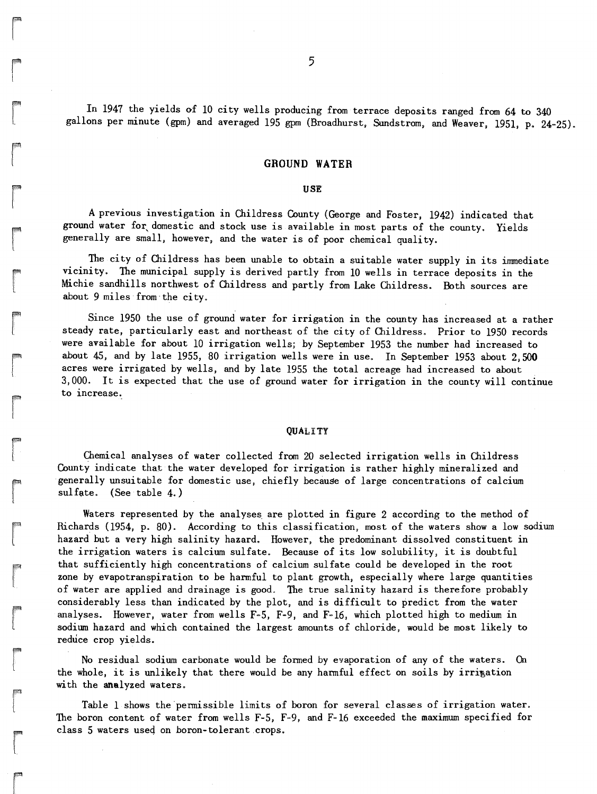In 1947 the yields of 10 city wells producing from terrace deposits ranged from 64 to 340 gallons per minute (gpm) and averaged 195 gpm (Broadhurst, Sundstrom, and Weaver, 1951, p. 24-25).

#### **GROUND WATER**

#### USE

A previous investigation in Childress County (George and Foster, 1942) indicated that ground water for domestic and stock use is available in most parts of the county. Yields generally are small, however. and the water is of poor chemical quality.

The city of Childress has been unable to obtain a suitable water supply in its immediate vicinity. The municipal supply is derived partly from 10 wells in terrace deposits in the Michie sandhills northwest of Childress and partly from Lake Childress. Both sources are about 9 miles from the city.

Since 1950 the use of ground water for irrigation in the county has increased at a rather steady rate, particularly east and northeast of the city of Childress. Prior to 1950 records were available for about 10 irrigation wells; by September 1953 the number had increased to about 45, and by late 1955, 80 irrigation wells were in use. In September 1953 about 2.500 acres were irrigated by wells, and by late 1955 the total acreage had increased to about 3,000. It is expected that the use of ground water for irrigation in the county will continue to increase.

#### **QUALITY**

Chemical analyses of water collected from 20 selected irrigation wells in Childress County indicate that the water developed for irrigation is rather highly mineralized and 'generally unsuitable for domestic use. chiefly because of large concentrations of calcium  $sulfate.$  (See table 4.)

Waters represented by the analyses are plotted in figure 2 according to the method of Richards (1954, p. 80). According to this classification, most of the waters show a low sodium hazard' but a very high salinity hazard. However, the predominant dissolved constituent in the irrigation waters is calcium sulfate. Because of its low solubility, it is doubtful that sufficiently high concentrations of calcium sulfate could be developed in the root zone by evapotranspiration to be harmful to plant growth, especially where large quantities of water are applied and drainage is good. The true salinity hazard is therefore probably considerably less than indicated by the plot, and is difficult to predict from the water analyses. However, water from wells F-5, F-9, and F-16, which plotted high to medium in sodium hazard and which contained the largest amounts of chloride, would be most likely to reduce crop yields.

No residual sodium carbonate would be formed by evaporation of any of the waters. On the whole, it is unlikely that there would be any harmful effect on soils by irrigation with the analyzed waters.

Table 1 shows the 'permissible limits of boron for several classes of irrigation water. The boron content of water from wells F-5, F-9, and F-16 exceeded the maximum specified for class 5 waters used on boron-tolerant crops.

re de la compa<br>Carlos de la compa<br>Carlos de la companya de la companya de la companya de la companya de la companya de la companya de la companya de la companya de la companya de la companya de la companya de la companya d

r I

range of the control of the control of the control of the control of the control of the control of the control of the control of the control of the control of the control of the control of the control of the control of the

r

range of the control of the control of the control of the control of the control of the control of the control of the control of the control of the control of the control of the control of the control of the control of the

range of the control of the control of the control of the control of the control of the control of the control of the control of the control of the control of the control of the control of the control of the control of the

re de la companya de la companya de la companya de la companya de la companya de la companya de la companya d<br>La companya de la companya de la companya de la companya de la companya de la companya de la companya de la co

records and the cord of the cord of the cord of the cord of the cord of the cord of the cord of the cord of th<br>The cord of the cord of the cord of the cord of the cord of the cord of the cord of the cord of the cord of th

**rando**<br>1

re de la provincia de la construction de la construction de la construction de la construction de la construction de la construction de la construction de la construction de la construction de la construction de la constru

r<br>Fransız (ö. 1888)<br>Fransız (ö. 1888)

r<br>Frans of the control of the control of the control of the control of the control of the control of the control of the control of the control of the control of the control of the control of the control of the control of t

ran<br>Lihat di Kabupatèn Kabupatèn Kabupatèn Kabupatèn Kabupatèn Kabupatèn Kabupatèn Kabupatèn Kabupatèn Kabupatèn K<br>Lihat di Kabupatèn Kabupatèn Kabupatèn Kabupatèn Kabupatèn Kabupatèn Kabupatèn Kabupatèn Kabupatèn Kabupatè

**radia** 

ra 1999<br>Linda Santa Cara (1999)<br>Linda Santa Cara (1999)<br>Linda Santa Cara (1999)

range of the control of the control of the control of the control of the control of the control of the control of the control of the control of the control of the control of the control of the control of the control of the

ra 1999<br>Particular de la contexta de la contexta de la contexta de la contexta de la contexta de la contexta de la con<br>De la contexta de la contexta de la contexta de la contexta de la contexta de la contexta de la context

range of the control of the control of the control of the control of the control of the control of the control of the control of the control of the control of the control of the control of the control of the control of the

ra de la compa<br>Casa de la compa<br>Casa de la compa<br>Casa de la compa<br>Casa de la compa<br>Casa de la compa<br>Casa de la compa<br>Casa de la compa<br>Casa de la compa<br>Casa de la compa<br>Casa de la compa<br>Casa de la compa<br>Casa de la compa<br>Cas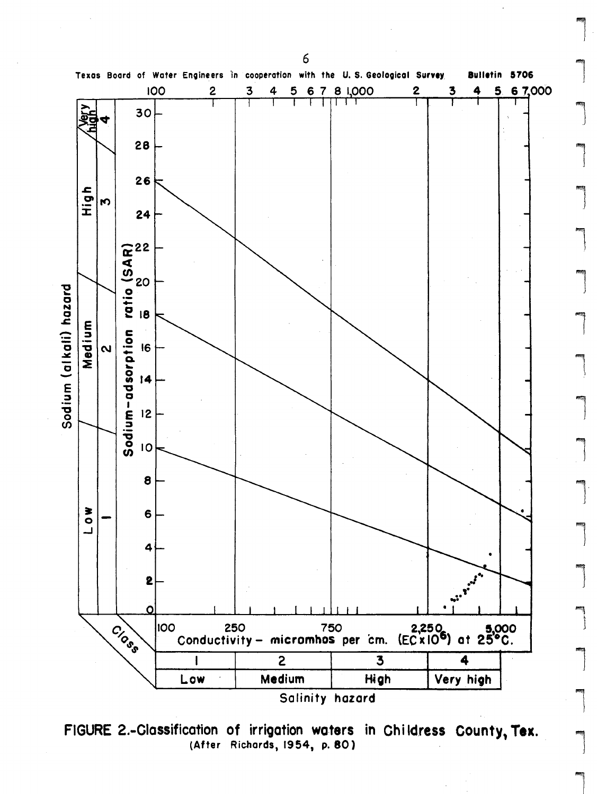

FIGURE 2.-Classification of irrigation waters in Childress County, Tex. (After Richards, 1954, p. 80)

6

l<br>El propinsi de la propinsi de la propinsi de la propinsi de la propinsi de la propinsi de la propinsi de la p<br>El propinsi de la propinsi de la propinsi de la propinsi de la propinsi de la propinsi de la propinsi de la p

 $\begin{array}{c} \begin{array}{c} \begin{array}{c} \end{array} \\ \begin{array}{c} \end{array} \end{array} \end{array}$ 

 $\left| \begin{array}{c} \end{array} \right|$ 

 $\begin{picture}(20,20) \put(0,0){\dashbox{0.5}(10,0){ }} \put(15,0){\dashbox{0.5}(10,0){ }} \put(15,0){\dashbox{0.5}(10,0){ }} \put(15,0){\dashbox{0.5}(10,0){ }} \put(15,0){\dashbox{0.5}(10,0){ }} \put(15,0){\dashbox{0.5}(10,0){ }} \put(15,0){\dashbox{0.5}(10,0){ }} \put(15,0){\dashbox{0.5}(10,0){ }} \put(15,0){\dashbox{0.5}(10,0){ }} \put(15,0){\dashbox{$ 

 $\bigcup$ 

l

l

l

l

l

l<br>l

 $\overline{\phantom{a}}$ 

l<br>ali

 $\begin{bmatrix} \phantom{-} \\ \phantom{-} \end{bmatrix}$ 

 $\int$ 

l

l

 $\begin{bmatrix} \phantom{-} \\ \phantom{-} \end{bmatrix}$ 

l<br>ali<br>d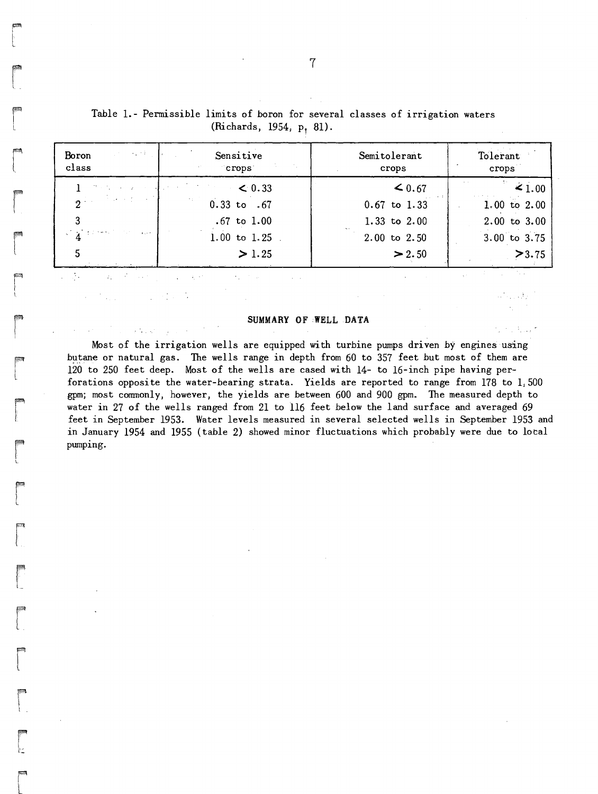| $\mathcal{L}^{\text{max}}_{\text{max}}$ , where $\mathcal{L}^{\text{max}}_{\text{max}}$<br>Boron<br>class                                                                                                                                                                                                                                                                                                                                             | Sensitive<br>アクセット たい<br>crops | Semitolerant<br>crops | Tolerant<br>crops |
|-------------------------------------------------------------------------------------------------------------------------------------------------------------------------------------------------------------------------------------------------------------------------------------------------------------------------------------------------------------------------------------------------------------------------------------------------------|--------------------------------|-----------------------|-------------------|
| しきん ないようよう そうましゃ スパー                                                                                                                                                                                                                                                                                                                                                                                                                                  | $\sim$ 0.33                    | $\leq 0.67$           | $\leq 1.00$       |
| $\mathbf{p}$ and $\mathbf{p}$ and $\mathbf{p}$                                                                                                                                                                                                                                                                                                                                                                                                        | $0.33$ to .67                  | $0.67$ to $1.33$      | $1.00$ to $2.00$  |
|                                                                                                                                                                                                                                                                                                                                                                                                                                                       | $.67$ to $1.00$                | 1.33 to $2.00$        | $2.00$ to $3.00$  |
| $\label{eq:reduced} \mathcal{L} = \frac{1}{\Lambda} \sum_{i=1}^N \left( \mathbb{E} \left[ \mathcal{L}^{(i)} \mathcal{L}^{(i)} \right] \right)^{-1} \mathcal{L}^{(i)} \left( \mathcal{L}^{(i)} \right) \mathcal{L}^{(i)} \left( \mathcal{L}^{(i)} \right) \mathcal{L}^{(i)} \left( \mathcal{L}^{(i)} \right) \mathcal{L}^{(i)} \left( \mathcal{L}^{(i)} \right) \mathcal{L}^{(i)} \left( \mathcal{L}^{(i)} \right) \mathcal{L}^{(i)} \left( \mathcal{$ | $1.00$ to $1.25$               | $2.00$ to $2.50$      | 3.00 to 3.75      |
|                                                                                                                                                                                                                                                                                                                                                                                                                                                       | > 1.25                         | > 2.50                | >3.75             |

Table 1.- Permissible limits of boron for several classes of irrigation waters (Richards, 1954,  $p_7$  81).

**rand**<br>L

r

**eria**<br>|<br>| L

r

r

r

r I.

range of the control of the control of the control of the control of the control of the control of the control of the control of the control of the control of the control of the control of the control of the control of the

re de la propieta de la partie de la partie de la partie de la partie de la partie de la partie de la partie d<br>La partie de la partie de la partie de la partie de la partie de la partie de la partie de la partie de la par

r

r

 $\begin{bmatrix} 1 \\ 1 \end{bmatrix}$ 

**rando**<br>Español de Santo Carlos (m. 1892)<br>Español de Santo Carlos (m. 1892)<br>Español de Santo Carlos (m. 1892)

 $\overline{\phantom{a}}$ 

rang<br>|-<br>|-

#### SUMMARY OF WELL DATA

Most of the irrigation wells are equipped with turbine pumps driven by engines using butane or natural gas. The wells range in depth from  $60$  to  $357$  feet but most of them are 120 to 250 feet deep. Most of the wells are cased with 14- to 16-inch pipe having perforations opposite the water-bearing strata. Yields are reported to range from 178 to 1,500 gpmj most commonly, however, the yields are between 600 and 900 gpm. The measured depth to water in 27 of the wells ranged from 21 to 116 feet below the land surface and averaged 69 feet in September 1953. Water levels measured in several selected wells in September 1953 and in January 1954 and 1955 (table 2) showed minor fluctuations which probably were due to local pumping.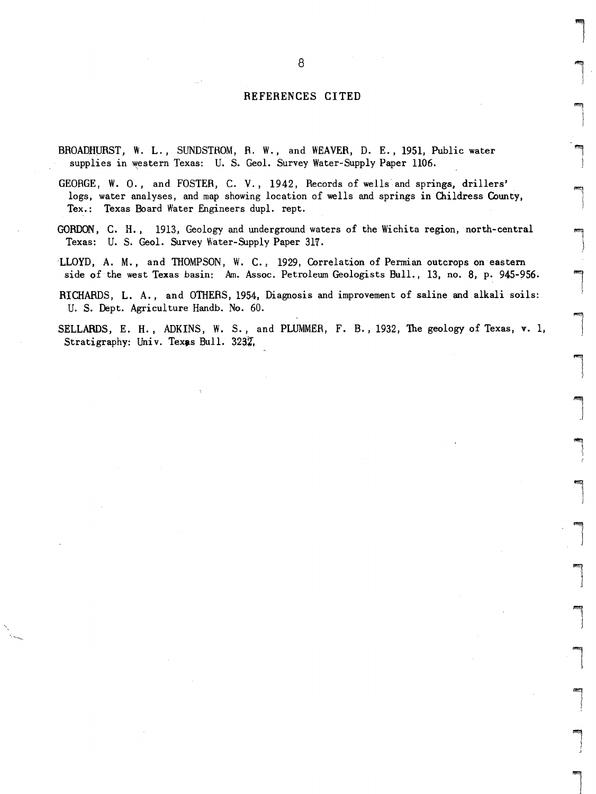#### REFERENCES CITED

- BROADHURST, W. L., SUNDSTROM, R. W., and WEAVER, D. E., 1951, Public water supplies in western Texas: U. S. Geol. Survey Water-Supply Paper 1106.
- GEORGE, W. 0., and FOSTER, C. V., 1942, Records of wells and springs, drillers' logs, water analyses, and map showing location of wells and springs in Childress County, Tex.: Texas Board Water Engineers dupl. rept.
- GORDON, C. H., 1913, Geology and underground waters of the Wichita region, north-central Texas: U. S. Geol. Survey Water-Supply Paper 3lY.
- LLOYD, A. M., and THOMPSON, W. C., 1929, Correlation of Permian outcrops on eastern side of the west Texas basin: Am. Assoc. Petroleum Geologists Bull., 13, no. 8, p. 945-956.
- RICHARDS, L. A., and OTHERS, 1954, Diagnosis and improvement of saline and alkali soils: U. S. Dept. Agriculture Handb. No. 60.
- SELLARDS, E. H., ADKINS, W. S., and PLUMMER, F. B., 1932, The geology of Texas, v. 1, Stratigraphy: Univ. Texas Bull. 3232.

 $\overline{\phantom{a}}$ 

 $\begin{array}{c} \begin{array}{c} \begin{array}{c} \begin{array}{c} \end{array} \end{array} \end{array} \end{array} \end{array}$ 

 $\begin{bmatrix} 1 \\ 1 \\ 1 \end{bmatrix}$  $\begin{array}{c} \begin{array}{c} \begin{array}{c} \end{array}\\ \begin{array}{c} \end{array} \end{array} \end{array}$ 

 $\mathbf{I}$ 

 $\begin{array}{c} \hline \end{array}$ 

 $\overline{\phantom{a}}$ 

l

 $\overline{\phantom{a}}$ 

l  $\begin{array}{c} \hline \end{array}$ 

\

 $\begin{array}{c} \hline \end{array}$ 

 $\overline{\phantom{a}}$ J

l

 $\begin{array}{c} \hline \end{array}$ 

light in the control of the control of the control of the control of the control of the control of the control of the control of the control of the control of the control of the control of the control of the control of the

land<br>|<br>|

l "

lines<br>|<br>|<br>|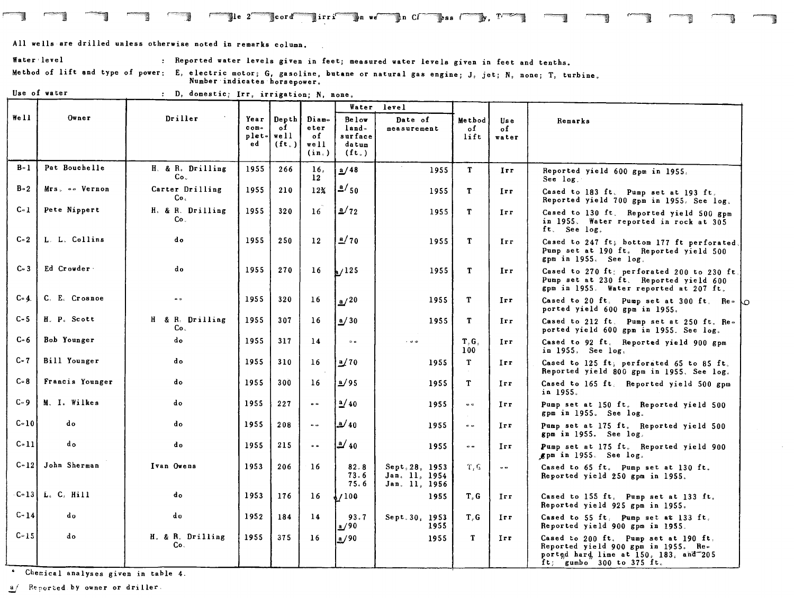All wells are drilled unless otherwise noted in remarks column.

Water level **Reported water levels given in feet;** measured water levels given in feet and tenths.

Method of lift and type of power: E, electric motor; G, gasoline, butane or natural gas engine; J, jet; N, none; T, turbine. Number indicates horsepower.

 $\blacksquare$   $\blacksquare$  irri $\blacksquare$ s we $\blacksquare$ n Cr $\blacksquare$ ss  $\blacksquare$ y,  $\blacksquare$ 

.--, ~,

Use of water  $\qquad \qquad ; \quad D,$  domestic; Irr, irrigation; N, none.

|          |                 |                                    |                                          |                                |                                         | Water                                                   | level                                            |                          |                                  |                                                                                                                                                     |
|----------|-----------------|------------------------------------|------------------------------------------|--------------------------------|-----------------------------------------|---------------------------------------------------------|--------------------------------------------------|--------------------------|----------------------------------|-----------------------------------------------------------------------------------------------------------------------------------------------------|
| Well     | Owner           | Driller                            | Year<br>conv <sub>e</sub><br>plet-<br>ed | Depth<br>of<br>well<br>$(f_t)$ | Diam-<br>eter<br>of<br>$w$ ell<br>(in.) | <b>Below</b><br>$land =$<br>surface<br>datum<br>$(f_t)$ | Date of<br>measurement                           | Method<br>of<br>lift     | <b>Use</b><br>$\circ$ f<br>water | Remarks                                                                                                                                             |
| $B - 1$  | Pat Bouchelle   | H. & R. Drilling<br>Co.            | 1955                                     | 266                            | 16.<br>12 <sup>2</sup>                  | a/48                                                    | 1955                                             | $\mathbf{T}$             | Irr                              | Reported yield 600 gpm in 1955.<br>See log.                                                                                                         |
| $B - 2$  | Mrs. -- Vernon  | Carter Drilling<br>Co.             | 1955                                     | 210                            | 12 <sub>X</sub>                         | 2/50                                                    | 1955                                             | T                        | Irr.                             | Cased to 183 ft. Pump set at 193 ft.<br>Reported yield 700 gpm in 1955. See log.                                                                    |
| $C-1$    | Pete Nippert    | H. & R. Drilling<br>Co.            | 1955                                     | 320                            | 16                                      | $\frac{a}{72}$                                          | 1955                                             | T                        | Irr                              | Cased to 130 ft. Reported yield 500 gpm<br>in 1955. Water reported in rock at 305<br>ft. See log.                                                   |
| $C = 2$  | L. L. Collins   | d o                                | 1955                                     | 250                            | 12 <sup>°</sup>                         | $\frac{a}{70}$                                          | 1955                                             | т                        | Irr.                             | Cased to 247 ft; bottom 177 ft perforated,<br>Pump set at 190 ft. Reported yield 500<br>gpm in 1955. See log.                                       |
| $C - 3$  | Ed Crowder      | do                                 | 1955                                     | 270                            | 16                                      | 125                                                     | 1955                                             | T                        | Irr                              | Cased to 270 ft; perforated 200 to 230 ft.<br>Pump set at 230 ft. Reported yield 600<br>gpm in 1955. Water reported at 207 ft.                      |
| $C - 4$  | C. E. Crosnoe   | $\sim$                             | 1955                                     | 320                            | 16                                      | a/20                                                    | 1955                                             | T                        | Irr                              | Cased to 20 ft. Pump set at 300 ft. Re-<br>ported yield 600 gpm in 1955.                                                                            |
| $C - 5$  | H. P. Scott     | H & R. Drilling<br>Co <sub>1</sub> | 1955                                     | 307                            | 16                                      | a/30                                                    | 1955                                             | T                        | Irr                              | Cased to 212 ft. Pump set at 250 ft. Re-<br>ported yield 600 gpm in 1955. See log.                                                                  |
| $C - 6$  | Bob Younger     | do                                 | 1955                                     | 317                            | 14                                      | $\approx$ $\approx$                                     |                                                  | T, G<br>100 <sub>1</sub> | Irr                              | Cased to 92 ft. Reported yield 900 gpm<br>in 1955. See log.                                                                                         |
| $C - 7$  | Bill Younger    | do                                 | 1955                                     | 310                            | 16                                      | 2/70                                                    | 1955                                             | $\mathbf{T}$             | Irr                              | Cased to 125 ft; perforated 65 to 85 ft.<br>Reported yield 800 gpm in 1955. See log.                                                                |
| $C - 8$  | Francis Younger | do                                 | 1955                                     | 300                            | 16                                      | b/95                                                    | 1955                                             | T                        | Irr                              | Cased to 165 ft. Reported yield 500 gpm<br>in 1955.                                                                                                 |
| $C - 9$  | M. I. Wilkes    | do                                 | 1955                                     | 227                            | $\bullet$                               | $\frac{a}{40}$                                          | 1955                                             | $\sim$                   | Irr                              | Pump set at 150 ft. Reported yield 500<br>gpm in 1955. See log.                                                                                     |
| $C - 10$ | d o             | do                                 | 1955                                     | 208                            | $\alpha$ $\alpha$                       | $\frac{a}{40}$                                          | 1955                                             | $\sim$ $\sim$            | Irr                              | Pump set at 175 ft. Reported yield 500<br>gpm in 1955. See log.                                                                                     |
| $C-11$   | do              | d o                                | 1955                                     | 215                            | $\bullet$ $\bullet$                     | $\frac{a}{40}$                                          | 1955                                             | $\bullet$ $\bullet$      | Irr.                             | Pump set at 175 ft. Reported yield 900<br>gpm in 1955. See log.                                                                                     |
| $C-12$   | John Sherman    | Ivan Owens                         | 1953                                     | 206                            | 16                                      | 82.8<br>73.6<br>75.6                                    | Sept. 28, 1953<br>Jan. 11, 1954<br>Jan. 11, 1956 | T.6                      | $\omega$ $\omega$                | Cased to 65 ft. Pump set at 130 ft.<br>Reported yield 250 gpm in 1955.                                                                              |
| $C-13$   | L. C. Hill      | do                                 | 1953                                     | 176                            | 16                                      | 1/100                                                   | 1955                                             | T.G                      | Irr                              | Cased to 155 ft. Pump set at 133 ft.<br>Reported yield 925 gpm in 1955.                                                                             |
| $C - 14$ | do              | do                                 | 1952                                     | 184                            | 14                                      | 93.7<br><u>a/90</u>                                     | Sept. 30, 1953<br>1955                           | T.G                      | Irr                              | Cased to 55 ft. Pump set at 133 ft.<br>Reported yield 900 gpm in 1955.                                                                              |
| $C - 15$ | do              | H. & R. Drilling<br>C٥.            | 1955                                     | 375                            | 16                                      | a/90                                                    | 1955                                             | T                        | Irr.                             | Cased to 200 ft. Pump set at 190 ft.<br>Reported yield 900 gpm in 1955. Re-<br>ported hard lime at 150, 183, and 205<br>$ft$ ; gumbo 300 to 375 ft. |

Chemical analyses given in table 4.

 $\underline{a}$  Reported by owner or driller.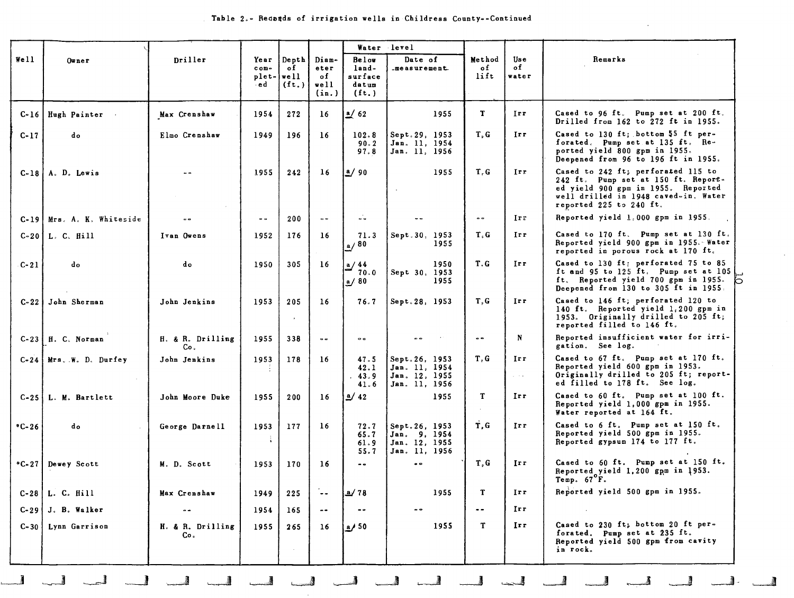$\mathcal{L}$ 

 $\sim 10$ 

|                  |                                  |                         |                         |                                              |                             |                                               | Water level                                                      |                      |                                       |                                                                                                                                                                                    |
|------------------|----------------------------------|-------------------------|-------------------------|----------------------------------------------|-----------------------------|-----------------------------------------------|------------------------------------------------------------------|----------------------|---------------------------------------|------------------------------------------------------------------------------------------------------------------------------------------------------------------------------------|
| Well<br>$0$ wner |                                  | Driller                 | Year<br>$conv -$<br>∙ed | Depth Diam-<br>of<br>plet-   well<br>$(f_t)$ | eter<br>of<br>well<br>(in.) | Below<br>land-<br>surface<br>datum<br>$(f_t)$ | Date of<br>measurement                                           | Method<br>of<br>lift | Use<br>of<br>water                    | Remarks                                                                                                                                                                            |
| $C-16$           | Hugh Painter                     | Max Crenshaw            | 1954                    | 272                                          | 16                          | $\frac{a}{2}$ 62                              | 1955                                                             | T                    | Irr                                   | Cased to 96 ft. Pump set at 200 ft.<br>Drilled from 162 to 272 ft in 1955.                                                                                                         |
| $C-17$           | do                               | Elmo Crenshaw           | 1949                    | 196                                          | 16                          | 102.8<br>90.2<br>97.8                         | Sept. 29, 1953<br>Jan. 11, 1954<br>Jan. 11, 1956                 | T, G                 | Irr                                   | Cased to 130 ft; bottom 55 ft per-<br>forated. Pump set at 135 ft. Re-<br>ported yield 800 gpm in 1955.<br>Deepened from 96 to 196 ft in 1955.                                     |
|                  | $C-18$ $A.$ $D.$ Lewis           | $\bullet$               | 1955                    | 242                                          | 16                          | $\frac{a}{90}$                                | 1955<br>$\sim$                                                   | T, G                 | Irr                                   | Cased to 242 ft; perforated 115 to<br>242 ft. Pump set at 150 ft. Report-<br>ed yield 900 gpm in 1955. Reported<br>well drilled in 1948 caved-in. Water<br>reported 225 to 240 ft. |
|                  | C-19   Mrs. A. K. Whiteside      |                         | $=$ $\infty$            | 200                                          | $\alpha$ $\alpha$           | $\ddot{\bullet}$                              |                                                                  | $\bullet$            | Irr                                   | Reported yield 1,000 gpm in 1955.                                                                                                                                                  |
|                  | $C-20$   L. $C.$ Hill            | Ivan Owens              | 1952                    | 176                                          | 16                          | 71.3<br>a/80                                  | Sept.30, 1953<br>1955                                            | T.G                  | Irr.                                  | Cased to 170 ft. Pump set at 130 ft.<br>Reported yield 900 gpm in 1955. Water<br>reported in porous rock at 170 ft.                                                                |
| $C-21$           | do                               | do                      | 1950                    | 305                                          | 16                          | $\frac{a}{70}$<br>70.0<br>a/80                | 1950<br>Sept 30, 1953<br>1955                                    | T.G                  | Irr                                   | Cased to 130 ft; perforated 75 to 85<br>ft and 95 to 125 ft. Pump set at 105<br>ft. Reported yield 700 gpm in 1955.<br>Deepened from 130 to 305 ft in 1955.                        |
|                  | C-22 John Sherman                | John Jenkins            | 1953                    | 205<br>$\bullet$                             | 16                          | 76.7                                          | Sept. 28, 1953                                                   | T.G                  | Irr                                   | Cased to 146 ft; perforated 120 to<br>140 ft. Reported yield $1,200$ gpm in<br>1953. Originally drilled to 205 ft;<br>reported filled to 146 ft.                                   |
|                  | $C-23$ $H. C. Norman$            | H. & R. Drilling<br>Co. | 1955                    | 338                                          | $\alpha$ $\alpha$           | $\circ$ $\circ$                               |                                                                  | $\omega$ $\infty$    | N                                     | Reported insufficient water for irri-<br>gation. See log.                                                                                                                          |
|                  | C-24   Mrs. W. D. Durfey         | John Jenkins            | 1953                    | 178                                          | 16                          | 47.5<br>42.1<br>43.9<br>41.6                  | Sept.26, 1953<br>Jan. 11, 1954<br>Jan. 12, 1955<br>Jan. 11, 1956 | T, G                 | Irr<br>$\alpha$ , $\alpha$ , $\alpha$ | Cased to 67 ft. Pump set at 170 ft.<br>Reported yield 600 gpm in 1953.<br>Originally drilled to 205 ft; report-<br>ed filled to 178 ft. See log.                                   |
|                  | $C-25$   L. M. Bartlett          | John Moore Duke         | 1955                    | 200                                          | 16                          | $\frac{a}{42}$                                | 1955                                                             | T<br>$\sim$          | Irr                                   | Cased to 60 ft. Pump set at 100 ft.<br>Reported yield 1,000 gpm in 1955.<br>Water reported at 164 ft.                                                                              |
| $*C-26$          | do                               | George Darnell          | 1953<br>÷               | 177                                          | 16                          | 72.7<br>65.7<br>61.9<br>55.7                  | Sept.26, 1953<br>Jan. 9, 1954<br>Jan. 12, 1955<br>Jan. 11, 1956  | T.G                  | Irr                                   | Cased to 6 ft. Pump set at 150 ft.<br>Reported yield 500 gpm in 1955.<br>Reported gypsum 174 to 177 ft.                                                                            |
|                  | <i><b>C-27   Dewey Scott</b></i> | M. D. Scott             | 1953                    | 170                                          | 16                          | $\bullet$                                     |                                                                  | T, G                 | Irr                                   | Cased to 60 ft. Pump set at 150 ft.<br>Reported yield 1,200 gpm in 1953.<br>Temp. $67^\circ$ F.                                                                                    |
|                  | $C-28$ L. C. Hill                | Max Crenshaw            | 1949                    | 225                                          |                             | <u>a/</u> 78                                  | 1955                                                             | T.                   | Irr                                   | Reported yield 500 gpm in 1955.                                                                                                                                                    |
| $C-29$           | J. B. Walker                     | $\bullet$               | 1954                    | 165                                          | $- -$                       | $\sim$ $\sim$                                 |                                                                  | $\frac{1}{2}$        | Irr                                   | $\sim$                                                                                                                                                                             |
| $C - 30$         | Lynn Garrison                    | H. & R. Drilling<br>Co. | 1955                    | 265<br>$\sim$                                | 16 <sup>1</sup>             | a/50                                          | 1955                                                             | T                    | Irr.                                  | Cased to 230 ft; bottom 20 ft per-<br>forated. Pump set at 235 ft.<br>Reported yield 500 gpm from cavity<br>in rock.                                                               |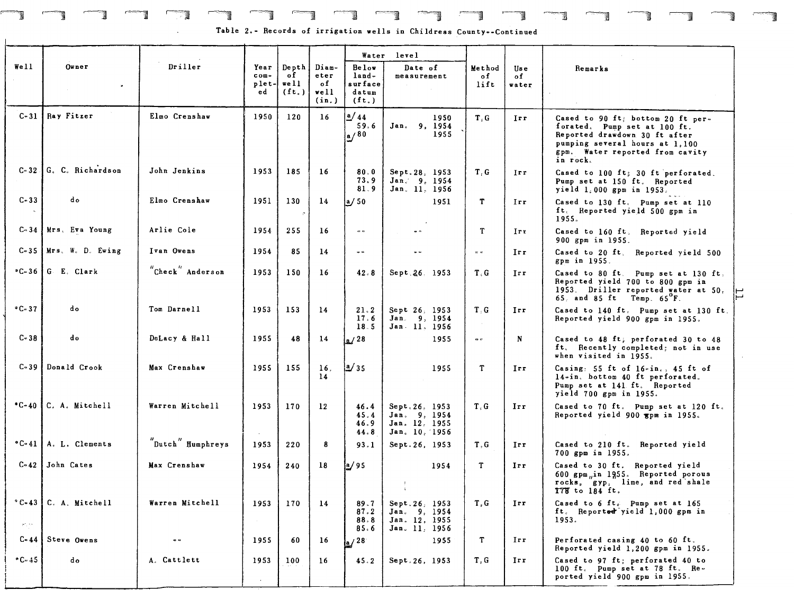# F=') ~ ,.,....., 1 --1 .=--, 1-1 .-, 1---11 ~ 1--J .-==, )--1 ~

Table 2.- Records of irrigation wells in Childress County--Continued

 $\Box$   $\Box$   $\Box$   $\Box$ 

|                          |                           |                                                    |                              |                                                     |                                      |                                               | Water level                                                      |                                 |                             |                                                                                                                                                                                     |
|--------------------------|---------------------------|----------------------------------------------------|------------------------------|-----------------------------------------------------|--------------------------------------|-----------------------------------------------|------------------------------------------------------------------|---------------------------------|-----------------------------|-------------------------------------------------------------------------------------------------------------------------------------------------------------------------------------|
| We11                     | $0$ wner<br>$\bullet$     | Driller                                            | Year<br>com-<br>plet-<br>e d | Depth  <br>оf<br>rel1<br>$(\mathbf{ft}_{\epsilon})$ | Diam-<br>eter<br>of<br>well<br>(in.) | Below<br>land-<br>surface<br>datum<br>$(f_t)$ | Date of<br>measurement                                           | Method<br>of<br>lift            | lis e<br>$\circ$ f<br>water | Remarks                                                                                                                                                                             |
|                          | C-31 Ray Fitzer           | Elmo Crenshaw                                      | 1950                         | 120                                                 | 16                                   | a/44<br>59.6<br>a/80                          | 1950<br>Jan. 9, 1954<br>1955                                     | T. G                            | Irr                         | Cased to 90 ft; bottom 20 ft per-<br>forated. Pump set at 100 ft.<br>Reported drawdown 30 ft after<br>pumping several hours at 1,100<br>gpm. Water reported from cavity<br>in rock. |
|                          | C-32 G. C. Richardson     | John Jenkins                                       | 1953                         | 185                                                 | 16                                   | 80.0<br>73.9<br>81.9                          | Sept. 28, 1953<br>Jan. 9, 1954<br>Jan. 11, 1956                  | T.G                             | Irr                         | Cased to 100 ft; 30 ft perforated.<br>Pump set at 150 ft. Reported<br>yield $1,000$ gpm in 1953.                                                                                    |
| $C - 33$                 | do                        | Elmo Crenshaw                                      | 1951                         | 130<br>$\mathcal{P}$                                | 14                                   | a/50                                          | 1951                                                             | T.                              | Irr                         | Cased to 130 ft. Pump set at 110<br>ft. Reported yield 500 gpm in<br>1955.                                                                                                          |
|                          | C-34   Mrs. Eva Young     | Arlie Cole                                         | 1954                         | 255                                                 | 16                                   | $\alpha$ $\alpha$                             | $\bullet$ $\Rightarrow$                                          | T                               | Irr                         | Cased to 160 ft. Reported yield<br>900 gpm in 1955.                                                                                                                                 |
|                          | $C-35$   Mrs. W. D. Ewing | Ivan Owens                                         | 1954                         | 85                                                  | 14                                   | e e                                           | $\sim$ $\sim$                                                    | $\pi$ $\in$                     | Irr                         | Cased to 20 ft. Reported yield 500<br>gpm in 1955.                                                                                                                                  |
|                          | ∗C-36 G. E. Clark         | $^{\prime\prime}$ Check $^{\prime\prime}$ Anderson | 1953                         | 150                                                 | 16                                   | 42.8                                          | Sept 26, 1953                                                    | T.G                             | Irr                         | Cased to 80 ft. Pump set at 130 ft.<br>Reported yield 700 to 800 gpm in<br>1953. Driller reported water at 50,<br>65, and 85 ft Temp. $65^{\circ}$ F.                               |
| $°C - 37$                | do                        | Tom Darnell                                        | 1953                         | 153                                                 | 14                                   | 21.2<br>17.6<br>18.5                          | Sept 26, 1953<br>Jan. 9, 1954<br>Jan 11, 1956                    | $T_{\odot}$ G<br>$\sim 10^{-1}$ | Irr                         | Cased to 140 ft. Pump set at 130 ft.<br>Reported yield 900 gpm in 1955.                                                                                                             |
| $C - 38$                 | do                        | DeLacy & Hall                                      | 1955                         | 48                                                  | 14                                   | a/28                                          | 1955                                                             | $\alpha$ $c$                    | N                           | Cased to 48 ft; perforated 30 to 48<br>ft. Recently completed; not in use<br>when visited in 1955.                                                                                  |
|                          | C-39 Donald Crook         | Max Crenshaw                                       | 1955                         | 155                                                 | 16.<br>14                            | $\frac{3}{5}$                                 | 1955                                                             | T                               | Irr                         | Casing: 55 ft of $16$ -in., 45 ft of<br>14-in. bottom 40 ft perforated.<br>Pump set at 141 ft. Reported<br>yield 700 gpm in 1955.                                                   |
|                          | *C-40 C. A. Mitchell      | Warren Mitchell                                    | 1953<br>$\sim$               | 170                                                 | 12 <sup>°</sup>                      | 46.4<br>45.4<br>46.9<br>44.8                  | Sept. 26, 1953<br>Jan. 9, 1954<br>Jan. 12, 1955<br>Jan. 10, 1956 | T, G                            | Irr                         | Cased to 70 ft. Pump set at 120 ft.<br>Reported yield 900 gpm in 1955.                                                                                                              |
| $°C - 41$                | A. L. Clements            | $"$ Dutch" Humphreys                               | 1953                         | 220                                                 | 8                                    | 93.1                                          | Sept.26, 1953                                                    | T, G                            | Irr                         | Cased to 210 ft. Reported yield<br>700 gpm in 1955.                                                                                                                                 |
| $C - 42$                 | John Cates                | Max Crenshaw                                       | 1954                         | 240                                                 | 18                                   | a/95                                          | 1954<br>$\pm$<br>$\mathcal{A}^{\pm}$                             | T                               | Irr                         | Cased to 30 ft. Reported yield<br>600 gpm, in 1955. Reported porous<br>rocks, gyp, lime, and red shale<br>178 to 184 ft.                                                            |
| $S^{\sigma}, S^{\sigma}$ | $*C-43$ C. A. Mitchell    | Warren Mitchell                                    | 1953                         | 170                                                 | 14                                   | 89.7<br>87.2<br>88.8<br>85.6                  | Sept.26, 1953<br>Jan. 9, 1954<br>Jan. 12, 1955<br>Jan. 11, 1956  | T, G                            | Irr                         | Cased to 6 ft. Pump set at 165<br>ft. Reported yield 1,000 gpm in<br>1953.                                                                                                          |
|                          | $C-44$ Steve Owens        | $\bullet$ $\bullet$                                | 1955                         | 60                                                  | 16                                   | a/28                                          | 1955                                                             | T                               | Irr                         | Perforated casing 40 to 60 ft.<br>Reported yield 1,200 gpm in 1955.                                                                                                                 |
| $°C - 45$                | do                        | A. Cattlett                                        | 1953                         | 100                                                 | 16                                   | 45.2                                          | Sept.26, 1953                                                    | T G                             | Irr                         | Cased to 97 ft; perforated 40 to<br>100 ft. Pump set at 78 ft. Re-<br>ported yield 900 gpm in 1955.                                                                                 |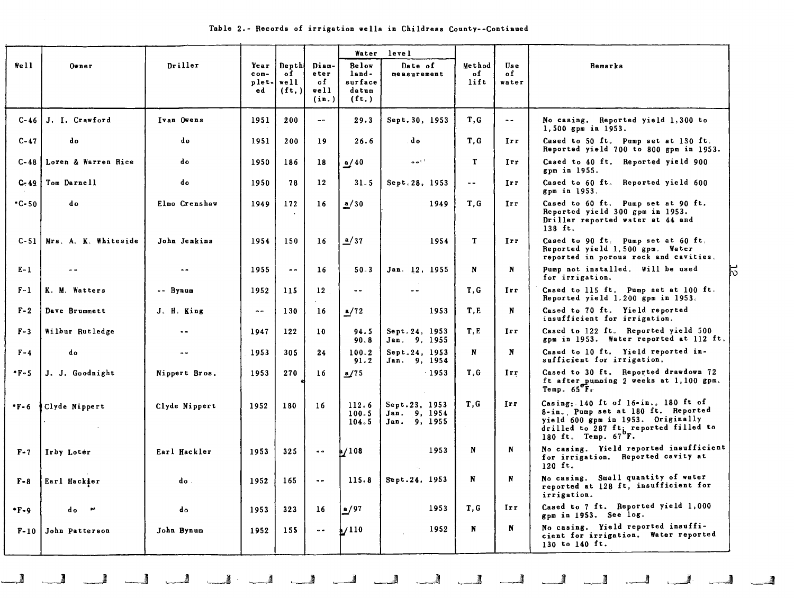|  |  |  |  |  |  |  |  | Table 2.- Records of irrigation wells in Childress County--Continued |
|--|--|--|--|--|--|--|--|----------------------------------------------------------------------|
|--|--|--|--|--|--|--|--|----------------------------------------------------------------------|

|             |                             |               |                                 |                                     |                                      | Water                                                | level                                         |                      |                     |                                                                                                                                                                                    |
|-------------|-----------------------------|---------------|---------------------------------|-------------------------------------|--------------------------------------|------------------------------------------------------|-----------------------------------------------|----------------------|---------------------|------------------------------------------------------------------------------------------------------------------------------------------------------------------------------------|
| We11        | Owner                       | Driller       | Year<br>$conv -$<br>plet-<br>ed | Depth<br>of<br>$w$ ell<br>$(f_t, )$ | Diam-<br>eter<br>of<br>well<br>(in.) | <b>Below</b><br>land-<br>surface<br>datum<br>$(f_t)$ | Date of<br>measurement                        | Method<br>of<br>lift | Use<br>of<br>water  | Remarks                                                                                                                                                                            |
| C-46 l      | J. I. Crawford              | Ivan Owens    | 1951                            | 200                                 | $\sim$ $\sim$                        | 29.3                                                 | Sept. 30, 1953                                | T, G                 | $\bullet$ $\bullet$ | No casing. Reported yield 1,300 to<br>1,500 gpm in 1953.                                                                                                                           |
| $C-47$      | do                          | do            | 1951                            | 200                                 | 19                                   | 26.6                                                 | do                                            | T.G                  | Irr                 | Cased to 50 ft. Pump set at 130 ft.<br>Reported yield 700 to 800 gpm in 1953.                                                                                                      |
| $C-48$      | Loren & Warren Rice         | do            | 1950                            | 186                                 | 18                                   | $\frac{a}{40}$                                       | $\bullet$ $\bullet$ $^{1.3}$                  | T.                   | Irr                 | Cased to 40 ft. Reported yield 900<br>gpm in 1955.                                                                                                                                 |
| $C - 49$    | Tom Darnell                 | do            | 1950                            | 78                                  | $12^{\circ}$                         | 31.5                                                 | Sept.28, 1953                                 | $\alpha$ $\alpha$    | Irr.                | Cased to 60 ft. Reported yield 600<br>gpm in 1953.                                                                                                                                 |
| $-C-50$     | do                          | Elmo Crenshaw | 1949                            | 172                                 | 16                                   | a/30                                                 | 1949                                          | T.G                  | Irr                 | Cased to 60 ft. Pump set at 90 ft.<br>Reported yield 300 gpm in 1953.<br>Driller reported water at 44 and<br>$138$ ft.                                                             |
|             | C-51   Mrs. A. K. Whiteside | John Jenkins  | 1954                            | 150                                 | 16                                   | a/37                                                 | 1954                                          | T                    | Irr                 | Cased to 90 ft. Pump set at 60 ft.<br>Reported yield 1,500 gpm. Water<br>reported in porous rock and cavities.                                                                     |
| $E - 1$     | $= 0$                       |               | 1955                            | $\bullet$ $\bullet$                 | 16                                   | 50.3                                                 | Jan. 12, 1955                                 | N                    | N                   | Pump not installed. Will be used<br>Б.<br>for irrigation.                                                                                                                          |
| $F-1$       | K. M. Watters               | -- Bynum      | 1952                            | 115                                 | 12                                   | $\bullet$ $\bullet$                                  |                                               | T.G                  | Irr.                | Cased to 115 ft. Pump set at 100 ft.<br>Reported yield 1.200 gpm in 1953.                                                                                                          |
| $F - 2$     | Dave Brummett               | J. H. King    | $\bullet$ $\bullet$             | 130                                 | 16                                   | a/72                                                 | 1953                                          | T.E                  | N                   | Cased to 70 ft. Yield reported<br>insufficient for irrigation.                                                                                                                     |
| $F - 3$     | Wilbur Rutledge             |               | 1947                            | 122                                 | 10 <sup>°</sup>                      | 94.5<br>90.8                                         | Sept. 24, 1953<br>Jan. 9, 1955                | T.E                  | Irr.                | Cased to 122 ft. Reported yield 500<br>gpm in 1953. Water reported at 112 ft.                                                                                                      |
| $F - 4$     | do                          |               | 1953                            | 305                                 | 24                                   | 100.2<br>91.2                                        | Sept.24. 1953<br>Jan. 9, 1954                 | $\mathbf{N}$         | N                   | Cased to 10 ft. Yield reported in-<br>sufficient for irrigation.                                                                                                                   |
| $-1.5$      | J. J. Goodnight             | Nippert Bros. | 1953                            | 270                                 | 16                                   | a/75                                                 | $-1953$                                       | T.G                  | Irr                 | Cased to 30 ft. Reported drawdown 72<br>ft after pumping 2 weeks at 1,100 gpm.<br>Temp. 65 <sup>o</sup> F <sub>s</sub>                                                             |
| $\cdot$ F-6 | Clyde Nippert               | Clyde Nippert | 1952                            | 180                                 | 16                                   | 112.6<br>100.5<br>104.5                              | Sept.23, 1953<br>Jan. 9, 1954<br>Jan. 9, 1955 | T.G                  | Irr                 | Casing: 140 ft of $16$ -in., 180 ft of<br>8-in., Pump set at 180 ft. Reported<br>yield 600 gpm in 1953. Originally<br>drilled to 287 ft; reported filled to<br>180 ft. Temp. 67 F. |
| $F - 7$     | Irby Loter                  | Earl Hackler  | 1953                            | 325                                 | $\bullet$ $\bullet$                  | $\frac{1}{4}$ /108                                   | 1953                                          | N                    | N                   | No casing. Yield reported insufficient<br>for irrigation. Reported cavity at<br>$120$ ft.                                                                                          |
| $F - B$     | Earl Hackler                | do.           | 1952                            | 165                                 | $\sim$ $-$                           | 115.8                                                | Sept.24, 1953                                 | N                    | N                   | No casing. Small quantity of water<br>reported at 128 ft, insufficient for<br>irrigation.                                                                                          |
| $-F-9$      | d o<br>$\sim$               | do            | 1953                            | 323                                 | 16                                   | n/97                                                 | 1953                                          | T.G                  | Irr.                | Cased to 7 ft. Reported yield 1,000<br>gpm in 1953. See log.                                                                                                                       |
|             | F-10 John Patterson         | John Bynum    | 1952                            | 155                                 | $\sim$ $\sim$                        | $\frac{1}{2}$                                        | 1952                                          | $\mathbf N$          | N                   | No casing. Yield reported insuffi-<br>cient for irrigation. Water reported<br>130 to 140 ft.                                                                                       |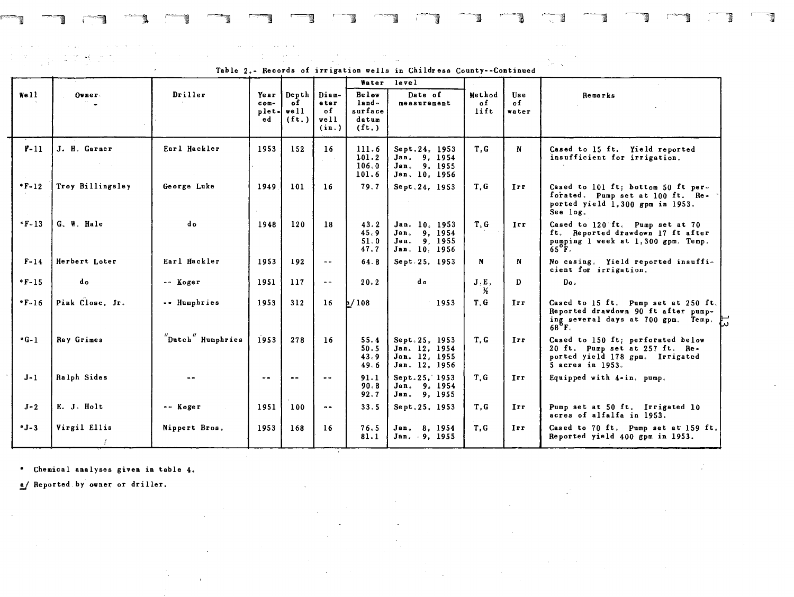and the con- $\mathcal{L}(\mathcal{D}) \cong \mathcal{L}(\mathcal{D})$  $\mathcal{L}^{\mathcal{L}}(\mathcal{L}^{\mathcal{L}}(\mathcal{L}^{\mathcal{L}}(\mathcal{L}^{\mathcal{L}}(\mathcal{L}^{\mathcal{L}}(\mathcal{L}^{\mathcal{L}}(\mathcal{L}^{\mathcal{L}}(\mathcal{L}^{\mathcal{L}}(\mathcal{L}^{\mathcal{L}}(\mathcal{L}^{\mathcal{L}}))))))$ 

Table 2.- Records of irrigation wells in Childress County--Continued Water level Well Owner. Driller Year Depth Diam- Below Date of Method Use Remarks<br>com- of eter land- measurement of of **COM-** of eter land- measurement of of of order results of of of order planets and the set of  $\begin{bmatrix} 0 & 0 \\ 0 & 0 \end{bmatrix}$  eter land- measurement of of order planets and the set of  $\begin{bmatrix} 0 & 0 \\ 0 & 0 \end{bmatrix}$ plet- well of surface distribution it water plet- $\begin{bmatrix} \text{well} \\ \text{ed} \\ \text{(ft.)} \\ \text{(in.)} \end{bmatrix}$   $\begin{bmatrix} \text{of} \\ \text{suffix} \\ \text{datum} \\ \text{(ft.)} \end{bmatrix}$  $(f_t)$ F-ll J. H. Garner Earl Hackler 1953 152 16 111. 6 Sept.24. 1953 T.G N Cased to 15 ft. Yield reported 101. 2 Jan. 9, 1954 insufficient for irrigation.  $\begin{array}{|l|} 106.0 & Jan. & 9. & 1955 \\ 101.6 & Jan. & 10. & 1956 \end{array}$ Jan. 10, 1956 \*F-12 Troy Billingsley | George Luke | 1949 101 | 16 | 79.7 | Sept.24, 1953 | T, G | Irr | Cased to 101 ft; bottom 50 ft perforated. Pump set at  $100$  ft. Reported yield 1.300 gpm in 1953. See log. °F-13 G. W. Hale do 1948 120 18 43.2 Jan. 10, 1953 T.G. Irr Cased to 120 ft. Pump set at 70<br>45.9 Jan. 9, 1954 1. 45.9 Jan. 9, 1954 ft. Reported drawdown 17 ft after<br>51.0 Jan. 9 1955 ft. Pumping 1 week at 1.300 gpm. Temp. 51. 0 Jan. 9, 1955 pumping 1 week at 1.300 gpm, Temp, Jan, 10, 1956 F-14 Herbert Loter | Earl Hackler | 1953 | 192 | = | 64.8 | Sept.25, 1953 | N | No casing. Yield reported insufficient for **irrigation <sup>c</sup> •F-15** do c c Koger 1951 117 -- 20.2 do J,E, D Do, ~ \*F-16 Pink Close, Jr. | -- Humphries | 1953 | 312 | 16 | 108 | 1953 | T, G | Irr | Cased to 15 ft. Pump set at 250 ft. Reported drawdown 90 ft after pumping several days at 700 gpm. Temp. )  $68^{\circ}$ F.  $^{\prime\prime}$ Dutch $^{\prime\prime}$  Humphries \*G-1 Ray Grimes | Dutch Humphries 1953 278 16 55.4 Sept.25, 1953 T.G Irr Cased to 150 ft; perforated below<br>50.5 Jan. 12, 1954 20 ft. Pump set at 257 ft. Re-50.5 Jan. 12, 1954 20 ft. Pump set at 257 ft. Re-43.9 Jan. 12. 1955 ported yield 178 gpm. Irrigated 49.6 Jan. 12. 1956 | | | 5 acres in 1953. J-1 Ralph Sides  $\begin{vmatrix} . & . & . \\ . & . & . \\ . & . & . \end{vmatrix}$  ...  $\begin{vmatrix} . & . & . \\ . & . & . \\ . & . & . \\ . & . & 00 \end{vmatrix}$  Sides Sides Sept. 25, 1953 T, G Irr Equipped with 4-in. pump. 91.1 Sept.25, 1953<br>90.8 Jan. 9, 1954<br>92.7 Jan. 9, 1955 Jan. 9, 1955 J-2 E. J. Holt -- Koger 1951 100 -- 33.5 Sept.25. 1953 T.G Irr Pump set at 50 ft. Irrigated 10 acres of alfalfa in 1953. \*J-3 Virgil Ellis Nippert Bros. 1953 168 16 76.5 Jan. 8, 1954 T.G Irr Cased to 70 ft. Pump set at 159 ft.<br>81.1 Jan. 9, 1955 Reported yield 400 gpm in 1953. 1953 168 16 76.5 Jan. 8, 1954 T, G Irr Cased to 70 ft. Pump set at 159 ft.<br>81.1 Jan. 9, 1955 T, G Reported yield 400 gpm in 1953.

 $-$ , 1 $-$ , 1 $-$ , 1 $-$ , 1 $-$ , 1 $-$ , 1 $-$ ,  $-$ , 1 $-$ , 1 $-$ , 1 $-$ , 1 $-$ , 1 $-$ , 1 $-$ , 1 $-$ , 1 $-$ , 1 $-$ , 1 $-$ , 1 $-$ , 1 $-$ , 1 $-$ , 1 $-$ , 1 $-$ , 1 $-$ , 1 $-$ , 1 $-$ , 1 $-$ , 1 $-$ , 1 $-$ , 1 $-$ , 1 $-$ , 1 $-$ , 1 $-$ , 1 $-$ , 1 $-$ , 1 $-$ , 1 $-$ , 1

Reported yield 400 gpm in 1953.

• Chemical analyses given in table 4 •

a/ Reported by owner or driller.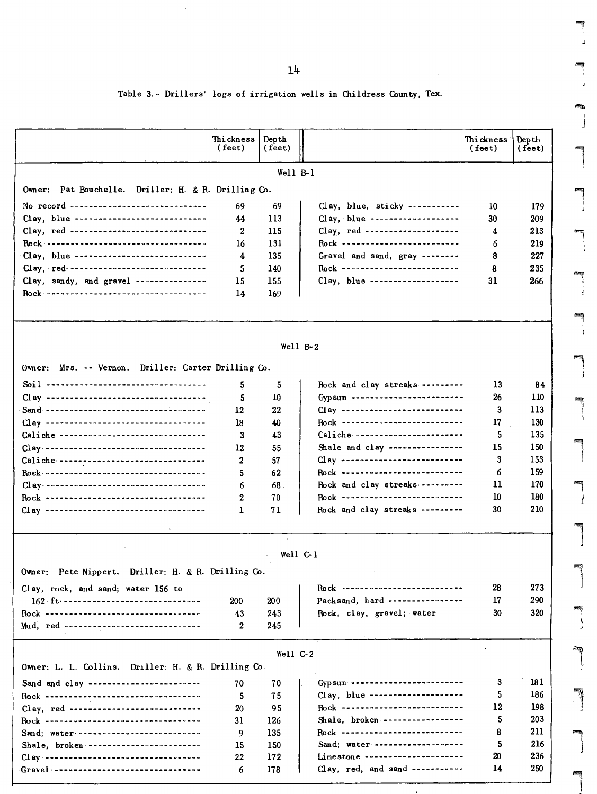14

l

 $\begin{bmatrix} \phantom{-} \\ \phantom{-} \end{bmatrix}$  $\begin{array}{c} \begin{array}{c} \begin{array}{c} \end{array}\\ \begin{array}{c} \end{array} \end{array} \end{array}$ 

J

l

 $\begin{bmatrix} \n\end{bmatrix}$ 

 $\begin{array}{c} \begin{array}{c} \begin{array}{c} \begin{array}{c} \end{array} \end{array} \end{array} \end{array}$ 

|<br>|<br>|<br>|

 $\overline{\phantom{a}}$ 

 $\overline{\mathbf{a}}$ 

l

 $\begin{bmatrix} 1 & 1 \\ 1 & 1 \end{bmatrix}$ 

l

 $\int$ 

l

 $\overline{\phantom{0}}$ 

## Table 3. - Drillers' logs of irrigation wells in Childress County, Tex.

|                                                                                    | Thi ckness<br>(feet) | Depth<br>(feet) |                                   | Thi ckness i<br>$(\text{feet})$ | Dep th<br>( feet) |
|------------------------------------------------------------------------------------|----------------------|-----------------|-----------------------------------|---------------------------------|-------------------|
|                                                                                    |                      |                 |                                   |                                 |                   |
|                                                                                    |                      | Well B-1        |                                   |                                 |                   |
| Owner: Pat Bouchelle. Driller: H. & R. Drilling Co.                                |                      |                 |                                   |                                 |                   |
| No record ------------------------------                                           | 69                   | 69              | Clay, blue, sticky -----------    | 10                              | 179               |
| Clay, blue -----------------------------                                           | 44                   | 113             | Clay, blue -------------------    | 30                              | 209               |
| Clay, red -------------------------------                                          | 2                    | 115             | Clay, red ---------------------   | 4                               | 213               |
|                                                                                    | 16                   | 131             | Rock --------------------------   | 6                               | 219               |
| Clay, blue -----------------------------                                           | 4                    | 135             | Gravel and sand, gray --------    | 8                               | 227               |
| Clay, red ------------------------------                                           | 5                    | 140             | Rock --------------------------   | 8                               | 235               |
| Clay, sandy, and gravel ---------------                                            | 15                   | 155             | Clay, blue --------------------   | 31                              | 266               |
|                                                                                    | 14                   | 169             |                                   |                                 |                   |
|                                                                                    |                      |                 | Well $B-2$                        |                                 |                   |
|                                                                                    |                      |                 |                                   |                                 |                   |
| Owner: Mrs. -- Vernon. Driller: Carter Drilling Co.                                |                      |                 |                                   |                                 |                   |
|                                                                                    | 5                    | 5               | Rock and clay streaks ---------   | 13                              | 84                |
| Clay -----------------------------------                                           | 5                    | 10              | Gyp sum ------------------------- | 26                              | 110               |
|                                                                                    | 12                   | 22              | Clay **************************   | 3                               | 113               |
|                                                                                    | 18                   | 40              | Rock ---------------------------  | 17                              | 130               |
| Caliche -------------------------------                                            | 3                    | 43              | Caliche ------------------------  | 5                               | 135               |
| Clay -----------------------------------                                           | 12                   | 55              | Shale and clay ----------------   | 15                              | 150               |
| Caliche ---------------------------------                                          | 2                    | 57              | Clay ---------------------------- | 3                               | 153               |
| Rock -----------------------------------                                           | 5                    | 62              | Rock ---------------------------  | .6                              | 159               |
| Clay -----------------------------------                                           | 6                    | 68.             | Rock and clay streaks             | 11                              | 170               |
| Rock ----------------------------------                                            | 2                    | 70              | Rock ---------------------------  | 10                              | 180               |
| Clay -----------------------------------                                           | 1                    | 71              | Rock and clay streaks ---------   | 30                              | 210               |
|                                                                                    |                      |                 | Well C-1                          |                                 |                   |
| Pete Nippert. Driller: H. & R. Drilling Co.<br>Owner:                              |                      |                 |                                   |                                 |                   |
| Clay, rock, and sand; water 156 to                                                 |                      |                 | Rock ---------------------------  | 28                              | 273               |
| 162 ft: -------------------------------                                            | 200                  | 200             | Packsand, hard ----------------   | 17                              | 290               |
| Rock ----------------------------------<br>Mud, red ------------------------------ | 43<br>2              | 243<br>245      | Rock, clay, gravel; water         | 30                              | 320               |
|                                                                                    |                      |                 |                                   |                                 |                   |
| Owner: L. L. Collins. Driller: H. & R. Drilling Co.                                |                      | Well $C-2$      |                                   |                                 |                   |
| Sand and clay ------------------------                                             | 70                   | 70              | Gyp sum ------------------------- | 3                               | 181               |
| -------------------------------<br>Rock --                                         | 5                    | 75              | Clay, blue --------------------   | 5.                              | 186               |
| Clay, red. ------------------------------                                          | 20                   | 95              | Rock ---------------------------  | 12                              | 198               |
| Rock ----------------------------------                                            | 31                   | 126             | Shale, broken -----------------   | 5                               | 203               |
| Sand; water ---------------------------                                            | 9                    | 135             | Rock ---------------------------  | 8                               | 211               |
| Shale, broken -------------------------                                            | 15                   | 150             | Sand; water --------------------  | 5                               | 216               |
| Clay -----------------------------------                                           | 22                   | 172             | Limestone ---------------------   | 20                              | 236               |
| Gravel ----------------------------------                                          | 6                    | 178             | Clay, red, and sand -----------   | 14                              | 250               |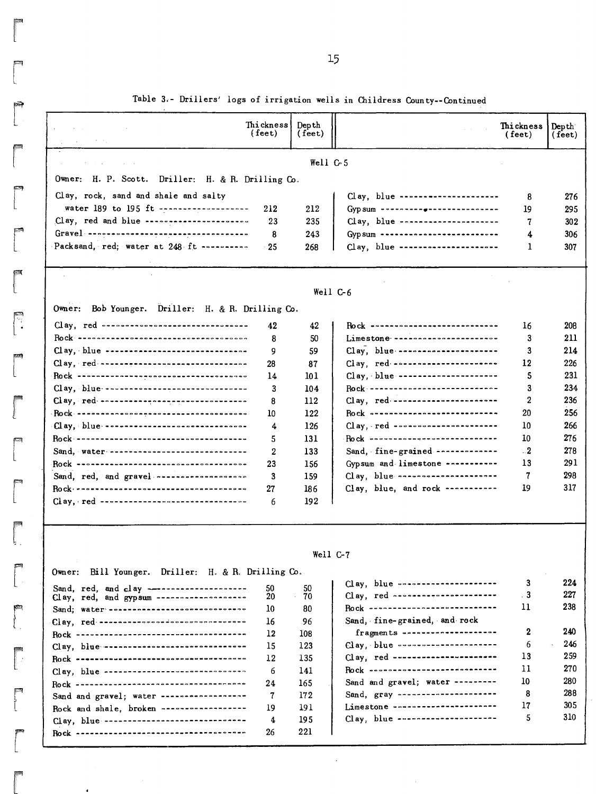|  |  |  |  |  |  |  |  | Table 3.- Drillers' logs of irrigation wells in Childress County--Continued |
|--|--|--|--|--|--|--|--|-----------------------------------------------------------------------------|
|--|--|--|--|--|--|--|--|-----------------------------------------------------------------------------|

|                                                                   | $(\text{feet})$ | ( feet)    |                                                 | Thickness<br>$(\text{feet})$ | Dep th<br>(feet) |
|-------------------------------------------------------------------|-----------------|------------|-------------------------------------------------|------------------------------|------------------|
|                                                                   |                 | Well $C5$  |                                                 |                              |                  |
| Owner: H. P. Scott. Driller: H. & R. Drilling Co.                 |                 |            |                                                 |                              |                  |
| Clay, rock, sand and shale and salty                              |                 |            | Clay, blue ---------------------                | 8                            | 276              |
| water 189 to 195 ft -------------------                           | 212             | 212        | Gyp sum --------- -----------------             | 19                           | 295              |
| Clay, red and blue -----------------------                        | 23              | 235        | Clay, blue ---------------------                | 7                            | 302              |
|                                                                   | 8               | 243        | Gyp sum --------------------------              | 4                            | 306              |
| Packsand, red; water at 248 ft ---------                          | 25              | 268        | Clay, blue ----------------------               | 1                            | 307              |
|                                                                   |                 |            |                                                 |                              |                  |
|                                                                   |                 | Well C-6   |                                                 |                              |                  |
| Owner: Bob Younger. Driller: H. & R. Drilling Co.                 |                 |            |                                                 |                              |                  |
| Clay, red ---------------------------------                       | 42              | 42         | <b>Rock Annewood Contract Contract Contract</b> | 16                           | 208              |
|                                                                   | 8               | 50         | Limestone -----------------------               | 3                            | 211              |
| Clay, blue ------------------------------                         | 9               | 59         |                                                 | 3                            | 214              |
| Clay, red ---------------------------------                       | 28              | 87         | Clay, red                                       | 12                           | 226              |
|                                                                   | 14              | 101        | Clay, blue ----------------------               | 5                            | 231              |
| Clay, blue -------------------------------                        | 3               | 104        |                                                 | 3                            | 234              |
| Clay, red                                                         | 8               | 112        |                                                 | $\mathbf{2}$                 | 236              |
|                                                                   | 10              | 122        | Rock ----------------------------               | 20                           | 256              |
| Clay, blue -------------------------------                        | 4               | 126        | $Clay, red \n \n \n$                            | 10                           | 266              |
|                                                                   | 5               | 131        | Rock                                            | 10                           | 276              |
| Sand, water ------------------------------                        | 2               | 133        | Sand, fine-grained -------------                | $^{1.2}$                     | 278              |
|                                                                   | 23              | 156        | Gypsum and limestone -----------                | 13                           | 291              |
| Sand, red, and gravel -------------------                         | 3               | 159        | $Clay, blue \n \n \n$                           | 7                            | 298              |
|                                                                   | 27              | 186        | Clay, blue, and rock -----------                | 19                           | 317              |
| $Clay, red - \cdots - \cdots - \cdots - \cdots - \cdots - \cdots$ | 6               | 192        |                                                 |                              |                  |
|                                                                   |                 |            |                                                 |                              |                  |
|                                                                   |                 | Well $C-7$ |                                                 |                              |                  |
| Owner: Bill Younger. Driller: H. & R. Drilling Co.                |                 |            | Clay, blue ---------------------                | 3                            | 224              |
| Clay, red, and gypsum --------------------                        | 50<br>20        | 50<br>70   | Clay, red -----------------------               | . 3                          | 227              |
| Sand; water - -----------------------------                       | 10              | 80         | Rock -----------------------------              | 11                           | 238              |
| Clay, red --------------------------------                        | 16              | 96         | Sand, fine-grained, and rock                    |                              |                  |
|                                                                   | 12              | 108        | fragments ---------------------                 | 2                            | 240              |
| Clay, blue -------------------------------                        | 15              | 123        | Clay, blue coorresponsessesses                  | 6                            | 246              |
|                                                                   | 12              | 135        | Clay, red -----------------------               | 13                           | 259              |
| Clay, blue ------------------------------                         | 6               | 141        | Pock ----------------------------               | 11                           | 270              |
|                                                                   | 24              | 165        | Sand and gravel; water ---------                | 10                           | 280              |
| Sand and gravel; water ------------------                         | 7               | 172        | Sand, gray ----------------------               | 8                            | 288              |
|                                                                   | 19              | 191        | Limestone -----------------------               | 17                           | 305              |
| Rock and shale, broken ------------------                         |                 |            |                                                 |                              |                  |
| Clay, blue --------------------------------                       | 4               | 195        | Clay, blue ---------------------                | 5                            | 310              |

 $\begin{bmatrix} 1 \\ 1 \\ 1 \end{bmatrix}$ **raza**<br>|<br>|r **r**<br>L r r<br>T

ł

r

**recently** 

r<br>L

 $\mathbf{r}$ 

r<br>L

r<br>C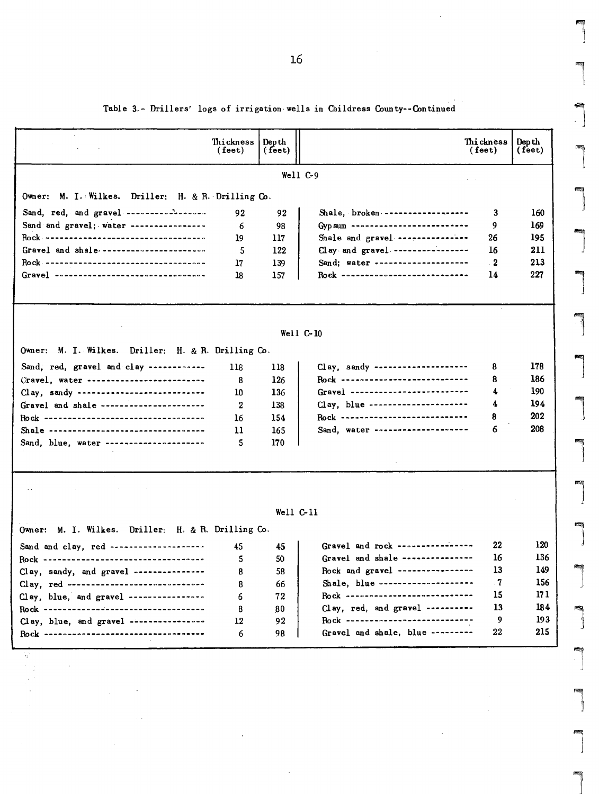Table 3.- Drillers' logs of irrigation wells in Childress County--Continued

|                                                    | Thickness<br>(feet) | Dep the $\blacksquare$<br>(feet) |                                                                         | Thickness<br>( feet) | Dep th<br>(feet) |  |  |  |  |  |  |  |  |
|----------------------------------------------------|---------------------|----------------------------------|-------------------------------------------------------------------------|----------------------|------------------|--|--|--|--|--|--|--|--|
| Well C-9                                           |                     |                                  |                                                                         |                      |                  |  |  |  |  |  |  |  |  |
| Owner: M. I. Wilkes. Driller: H. & R. Drilling Co. |                     |                                  |                                                                         |                      |                  |  |  |  |  |  |  |  |  |
| Sand, red, and gravel -----------------            |                     |                                  |                                                                         |                      |                  |  |  |  |  |  |  |  |  |
| Sand and gravel; water ---------------             | 92                  | 92                               | Shale, broken -------------------<br>Gyp sum -------------------------- | 3<br>9               | 160              |  |  |  |  |  |  |  |  |
| Rock -----------------------------------           | 6<br>19             | 98<br>117                        | Shale and gravel ---------------                                        | 26                   | 169<br>195       |  |  |  |  |  |  |  |  |
| Gravel and shale ----------------------            | 5                   | 122                              | Clay and gravel -----------------                                       | 16                   | 211              |  |  |  |  |  |  |  |  |
| Rock -----------------------------------           | 17                  | 139                              | Sand; water ---------------------                                       | - 2                  | 213              |  |  |  |  |  |  |  |  |
| Gravel ----------------------------------          | 18                  | 157                              | Rock ----------------------------                                       | 14                   | 227              |  |  |  |  |  |  |  |  |
|                                                    |                     |                                  |                                                                         |                      |                  |  |  |  |  |  |  |  |  |
|                                                    |                     |                                  |                                                                         |                      |                  |  |  |  |  |  |  |  |  |
|                                                    |                     |                                  | Well C-10                                                               |                      |                  |  |  |  |  |  |  |  |  |
| Owner: M. I. Wilkes. Driller: H. & R. Drilling Co. |                     |                                  |                                                                         |                      |                  |  |  |  |  |  |  |  |  |
| Sand, red, gravel and clay ------------            | 118                 | 118                              | Clay, sandy --------------------                                        | 8                    | 178              |  |  |  |  |  |  |  |  |
| Cravel, water -------------------------            | 8                   | 126                              | Rock ---------------------------                                        | 8                    | 186              |  |  |  |  |  |  |  |  |
| Clay, sandy ---------------------------            | 10                  | 136                              | Gravel ---------------------------                                      | 4                    | 190              |  |  |  |  |  |  |  |  |
| Gravel and shale ----------------------            | 2                   | 138                              | Clay, blue ---------------------                                        | 4                    | 194              |  |  |  |  |  |  |  |  |
| Rock -----------------------------------           | 16                  | 154                              | Rock -----------------------------                                      | 8                    | 202              |  |  |  |  |  |  |  |  |
| Shale ----------------------------------           | 11                  | 165                              | Sand, water ---------------------                                       | 6                    | 208              |  |  |  |  |  |  |  |  |
| Sand, blue, water ---------------------            | 5                   | 170                              |                                                                         |                      |                  |  |  |  |  |  |  |  |  |
|                                                    |                     |                                  |                                                                         |                      |                  |  |  |  |  |  |  |  |  |
|                                                    |                     |                                  |                                                                         |                      |                  |  |  |  |  |  |  |  |  |
|                                                    |                     | Well C-11                        |                                                                         |                      |                  |  |  |  |  |  |  |  |  |
| Owner: M. I. Wilkes. Driller: H. & R. Drilling Co. |                     |                                  |                                                                         |                      |                  |  |  |  |  |  |  |  |  |
| Sand and clay, red -------------------             | 45                  | 45                               | Gravel and rock ----------------                                        | 22                   | 120              |  |  |  |  |  |  |  |  |
| Rock -----------------------------------           | 5                   | 50                               | Gravel and shale ----------------                                       | 16                   | 136              |  |  |  |  |  |  |  |  |
| Clay, sandy, and gravel --------------             | 8                   | 58                               | Rock and gravel ----------------                                        | 13                   | 149              |  |  |  |  |  |  |  |  |
| Clay, red -----------------------------            | 8                   | 66                               | Shale, blue --------------------                                        | 7                    | 156              |  |  |  |  |  |  |  |  |
| Clay, blue, and gravel ----------------            | 6                   | 72                               | Rock -----------------------------                                      | 15                   | 171              |  |  |  |  |  |  |  |  |
|                                                    | 8                   | 80                               | Clay, red, and gravel ----------                                        | 13                   | 184              |  |  |  |  |  |  |  |  |
| Clay, blue, and gravel ----------------            | 12                  | 92                               | Rock ----------------------------                                       | 9                    | 193              |  |  |  |  |  |  |  |  |
| <u>Rock ----------------------------------</u>     | 6                   | 98                               | Gravel and shale, blue ---------                                        | 22                   | 215              |  |  |  |  |  |  |  |  |
| W                                                  |                     |                                  |                                                                         |                      |                  |  |  |  |  |  |  |  |  |

 $\overline{\phantom{a}}$ 

l

la de la partie de la partie de la partie de la partie de la partie de la partie de la partie de la partie de l<br>De la partie de la partie de la partie de la partie de la partie de la partie de la partie de la partie de la

 $\begin{bmatrix} \phantom{-} \\ \phantom{-} \end{bmatrix}$ 

la de la construction de la construction de la construction de la construction de la construction de la constr<br>La construction de la construction de la construction de la construction de la construction de la construction<br>

l

l

ا<br>العام<br>1

l<br>and the second second second second second second second second second second second second second second second second second second second second second second second second second second second second second second se

 $\overline{\phantom{a}}$ 

 $\begin{array}{c} \hline \end{array}$ 

 $\begin{array}{c} \hline \end{array}$ 

l

 $\int$ 

l  $\begin{array}{ccc} \overline{ \phantom{a} } & & \overline{ \phantom{a} } \ & & \overline{ \phantom{a} } & \overline{ \phantom{a} } \end{array}$ 

]

l

l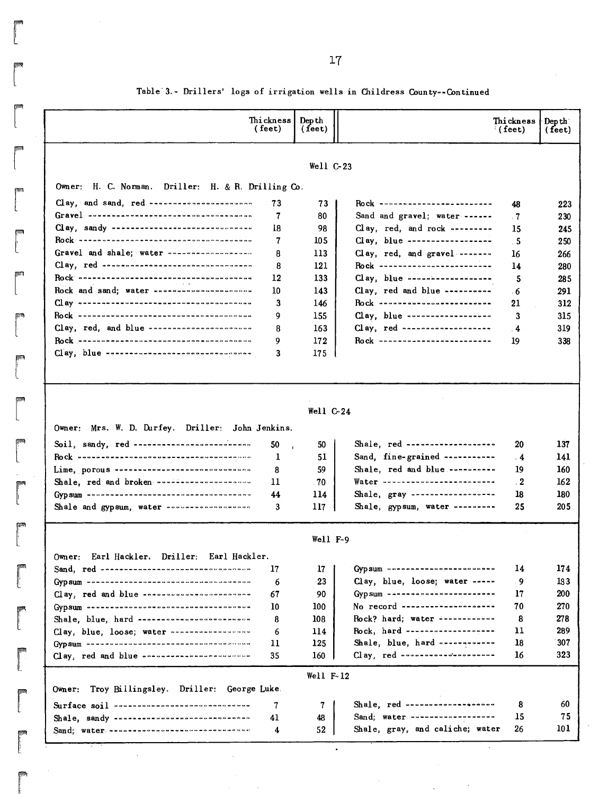|                                                                                                                                                                                                                                                                                                                                              | Thi ckness  <br>(feet) | Dep th<br>(fect) |                                                                               | Thickness<br>(feet) | Dep th<br>$($ feet $)$ |
|----------------------------------------------------------------------------------------------------------------------------------------------------------------------------------------------------------------------------------------------------------------------------------------------------------------------------------------------|------------------------|------------------|-------------------------------------------------------------------------------|---------------------|------------------------|
|                                                                                                                                                                                                                                                                                                                                              |                        | Well C-23        |                                                                               |                     |                        |
| Owner: H. C. Norman. Driller: H. & R. Drilling Co.                                                                                                                                                                                                                                                                                           |                        |                  |                                                                               |                     |                        |
| Clay, and sand, red ----------------------                                                                                                                                                                                                                                                                                                   | 73                     | 73               | Rock ----------------- <i>------</i> --                                       | 48                  |                        |
|                                                                                                                                                                                                                                                                                                                                              | 7                      | 80               | Sand and gravel; water ------                                                 | $\cdot$ 7           |                        |
| Clay, sandy -----------------------------                                                                                                                                                                                                                                                                                                    | 18                     | 98               | Clay, red, and rock ---------                                                 | 15                  |                        |
|                                                                                                                                                                                                                                                                                                                                              | 7                      | 105              | Clay, blue ------------------                                                 | - 5                 |                        |
|                                                                                                                                                                                                                                                                                                                                              | 8                      | 113              | Clay, red, and gravel -------                                                 | 16                  |                        |
|                                                                                                                                                                                                                                                                                                                                              | 8                      | 121              | Rock -------------------------                                                | 14                  |                        |
|                                                                                                                                                                                                                                                                                                                                              | 12                     | 133              | $Clay, blue$ -------------------                                              | 5                   |                        |
| Rock and sand; water ---------------------                                                                                                                                                                                                                                                                                                   | 10                     | 143              | Clay, red and blue ----------                                                 | - 6                 |                        |
| $\prod_{i=1}^n a_i$ sees - se cases concernace concernation of $a$                                                                                                                                                                                                                                                                           | 3                      | 146              | <u>Rock ************************</u>                                          | 21                  |                        |
|                                                                                                                                                                                                                                                                                                                                              | 9                      | 155              | Clay, blue ------------------                                                 | 3                   |                        |
| Clay, red, and blue ----------------------                                                                                                                                                                                                                                                                                                   | 8                      | 163              | $C1$ ay, red --------------------                                             | $\overline{4}$      |                        |
|                                                                                                                                                                                                                                                                                                                                              | 9                      | 172              | Rock -------------------------                                                | 19                  |                        |
| Clay, blue -------------------------------                                                                                                                                                                                                                                                                                                   | 3                      | 175              |                                                                               |                     |                        |
|                                                                                                                                                                                                                                                                                                                                              |                        | Well $C-24$      |                                                                               |                     |                        |
|                                                                                                                                                                                                                                                                                                                                              |                        |                  |                                                                               |                     |                        |
| Owner: Mrs. W. D. Durfey. Driller: John Jenkins.                                                                                                                                                                                                                                                                                             |                        |                  |                                                                               | 20                  |                        |
| Soil, sandy, red ------------------------                                                                                                                                                                                                                                                                                                    | 50                     | 50               | Shale, red -------------------                                                |                     |                        |
|                                                                                                                                                                                                                                                                                                                                              | 1                      | 51               | Sand, fine-grained -----------                                                | . 4                 |                        |
| Lime, porous -----------------------------                                                                                                                                                                                                                                                                                                   | 8<br>11                | 59               | Shale, red and blue ----------<br>Water -------------------------             | 19                  |                        |
| Shale, red and broken -------------------                                                                                                                                                                                                                                                                                                    |                        | 70               |                                                                               | $\cdot$ 2           |                        |
| Shale and gypsum, water -----------------                                                                                                                                                                                                                                                                                                    | 44<br>3                | 114<br>117       | Shale, gray -------------------<br>Shale, gypsum, water ---------             | 18<br>25            |                        |
|                                                                                                                                                                                                                                                                                                                                              |                        | Well F-9         |                                                                               |                     |                        |
| Earl Hackler. Driller: Earl Hackler.<br>Owner:                                                                                                                                                                                                                                                                                               |                        |                  |                                                                               |                     |                        |
| $\texttt{Sand}, \texttt{red}$ . $\texttt{read}$ . $\texttt{re}$ . $\texttt{re}$ . $\texttt{re}$ . $\texttt{re}$ . $\texttt{re}$ . $\texttt{re}$ . $\texttt{re}$ . $\texttt{re}$ . $\texttt{re}$ . $\texttt{re}$ . $\texttt{re}$ . $\texttt{re}$ . $\texttt{re}$ . $\texttt{re}$ . $\texttt{re}$ . $\texttt{re}$ . $\texttt{re}$ . $\texttt{$ | 17                     | 17               | Gyp sum concessores consecuence                                               | 14                  |                        |
| Gyp sum <b>specialistics</b> and concernation and concernation                                                                                                                                                                                                                                                                               | 6                      | 23               | Clay, blue, loose; water -----                                                | -9                  |                        |
| Clay, red and blue -nossassassassassassassa                                                                                                                                                                                                                                                                                                  | 67                     | 90               | Gypsum ========================                                               | 17                  |                        |
|                                                                                                                                                                                                                                                                                                                                              | 10                     | 100              | No record ---------------------                                               | 70                  |                        |
| Shale, blue, hard ------------------------                                                                                                                                                                                                                                                                                                   | 8                      | 108              | Rock? hard; water ------------                                                | 8                   |                        |
| Clay, blue, loose; water                                                                                                                                                                                                                                                                                                                     | 6                      | 114              | Rock, hard -------------------                                                | 11                  |                        |
| Gyp sum socializations and accessored and consumer                                                                                                                                                                                                                                                                                           | 11                     | 125              | Shale, blue, hard                                                             | 18                  |                        |
| Clay, red and blue ------------------------                                                                                                                                                                                                                                                                                                  | 35                     | 160              |                                                                               | 16                  |                        |
|                                                                                                                                                                                                                                                                                                                                              |                        | Well $F-12$      |                                                                               |                     |                        |
| Troy Billingsley. Driller: George Luke.<br>$0$ wher:                                                                                                                                                                                                                                                                                         |                        |                  |                                                                               |                     |                        |
| Surface soil ------------------------------                                                                                                                                                                                                                                                                                                  | 7                      | 7                | Shale, red $\cdots$                                                           | 8                   |                        |
|                                                                                                                                                                                                                                                                                                                                              | 41<br>4                | 48<br>52         | $\texttt{Sand}$ ; water ------------------<br>Shale, gray, and caliche; water | 15<br>26            |                        |

 $\sim$ 

# Table'3.- Drillers' logs of irrigation wells in Childress County~-Continued

**read**<br>**read** 

r

17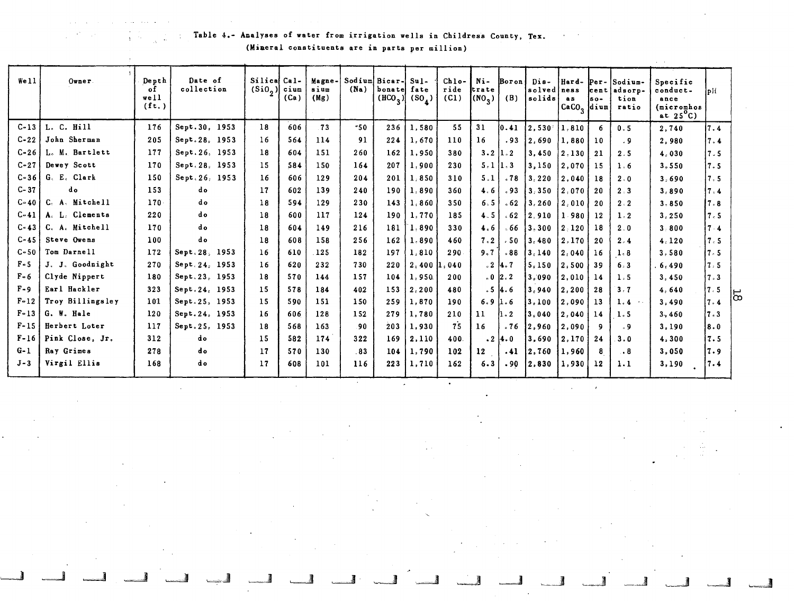Table 4.- ADa lyses of water from irrigation wells in Childress County, Tex. (Mineral constituents are in parts per million)

~ ~ ,--\_ .. ,

 $\sim$   $\sim$ 

| We11     | Owner            | Depth<br>οf<br>well<br>$(f_t)$ | Date of<br>collection | Silical Cal-<br>$(Si02)$ cium | (Ca) | Magne-<br>sium<br>(Mg) | (Na) | Sodium Bicar-<br>bonate<br>$(HCO_3)$ | $Su1-$<br>fate<br>$(S_0)$ | $Chlo-$<br>ride<br>(C1) | Ni-<br>trate<br>(NO <sub>3</sub> ) | Boron<br>(B) | Dis-<br>solved<br>solids | Hard-<br>ness<br>a s<br>CaCO <sub>3</sub> dium | $Per-$<br><b>cent</b><br>$so-$ | Sodium-<br>adsorp-<br>tion<br>ratio | Specific<br>conduct-<br>ance<br>(micromhos<br>at $25^{\circ}$ C) | $\overline{D}$ |    |
|----------|------------------|--------------------------------|-----------------------|-------------------------------|------|------------------------|------|--------------------------------------|---------------------------|-------------------------|------------------------------------|--------------|--------------------------|------------------------------------------------|--------------------------------|-------------------------------------|------------------------------------------------------------------|----------------|----|
| $C-13$   | L. C. Hill       | 176                            | Sept.30, 1953         | 18                            | 606  | .73                    | -50  | 236                                  | 1,580                     | 55                      | 31                                 | 10.41        | 12.530 :                 | 1.810                                          | 6                              | 0.5                                 | 2.740                                                            | 7.4            |    |
| $C - 22$ | John Sherman     | 205                            | Sept.28, 1953         | 16                            | 564  | 114                    | 91   | 224                                  | 1,670                     | 110                     | 16                                 | .93          | 2,690                    | 1,880                                          | 10                             | . 9                                 | 2.980                                                            | 7.4            |    |
| C-26     | L. M. Bartlett   | 177                            | Sept. 26, 1953        | 18                            | 604  | 151                    | 260  | 162                                  | 1,950                     | 380                     | $3.2$  1.2                         |              | 3,450                    | 2,130                                          | 21                             | 2.5                                 | 4.030                                                            | 7.5            |    |
| $C - 27$ | Dewey Scott      | 170                            | Sept. 28, 1953        | 15                            | 584  | 150                    | 164  | 207                                  | 1,900                     | 230                     | 5.111.3                            |              | 3,150                    | 2,070                                          | 15                             | 1.6                                 | 3,550                                                            | 7.5            |    |
| $C - 36$ | G. E. Clark      | 150                            | Sept. 26, 1953        | 16                            | 606  | 129                    | 204  | 201                                  | 1,850                     | 310                     | 5.1                                | .78          | 3.220                    | 2.040                                          | 18                             | 2.0                                 | 3.690                                                            | 7.5            |    |
| $C - 37$ | do               | 153                            | d o                   | 17                            | 602  | 139                    | 240  | 190                                  | 1,890                     | 360                     | 4.6                                | .93          | 13,350                   | 2.070                                          | 20                             | 2.3                                 | 3,890                                                            | 7.4            |    |
| $C - 40$ | C. A. Mitchell   | $170-$                         | d o                   | 18                            | 594  | 129                    | 230  | 143                                  | 1.860                     | 350                     | 6.5                                | .62          | 3,260                    | 2.010                                          | 20                             | 2:2                                 | 3.850                                                            | l 7 - 8        |    |
| $C - 41$ | A. L. Clements   | 220                            | do                    | 18                            | 600  | 117                    | 124  | 190                                  | 1,770                     | 185                     | 4.5                                | . 62         | 2.910                    | 1.980                                          | 12                             | 1.2                                 | 3,250                                                            | 7.5            |    |
| $C - 43$ | C. A. Mitchell   | 170                            | do                    | 18                            | 604  | 149                    | 216  | 181                                  | 1,890                     | 330                     | 4.6                                | . 66         | 3.300                    | $2 - 120$                                      | 18                             | 2.0                                 | 3.800                                                            | 74             |    |
| $C - 45$ | Steve Owens      | 100                            | do                    | 18                            | 608  | 158                    | 256  | 162                                  | 1,890                     | 460                     | 7.2                                | $-50$        | 3.480                    | 2,170                                          | 20                             | 2.4                                 | 4.120                                                            | 7.5            |    |
| $C - 50$ | Tom Darnell      | 172                            | Sept. 28, 1953        | 16                            | 610  | 125                    | 182  | 197                                  | 1,810                     | 290                     | 9.7                                | .88          | 3.140                    | 2.040                                          | 16                             | 1.8                                 | 3,580                                                            | l 7 - 5        |    |
| $F - 5$  | J. J. Goodnight  | 270                            | Sept. 24. 1953        | 16                            | 620  | 232                    | 730  | 220                                  | 2,400                     | .040                    |                                    | 214.7        | 5,150                    | 2.500                                          | 39                             | 6.3                                 | 6,490                                                            | 7.5            |    |
| $F - 6$  | Clyde Nippert    | 180                            | Sept.23, 1953         | 18                            | 570  | 144                    | 157  | 104                                  | 1,950                     | 200                     |                                    | 0.02.2       | 3,090                    | 2,010                                          | 14                             | 1.5                                 | 3.450                                                            | 7.3            |    |
| $F - 9$  | Earl Hackler     | 323                            | Sept.24, 1953         | 15                            | 578  | 184                    | 402  | 153                                  | 2, 200                    | 480                     |                                    | 514.6        | 3,940                    | 2,200                                          | 28                             | 3.7                                 | 4.640                                                            | 7.5            | 50 |
| $F-12$   | Troy Billingsley | 101                            | Sept.25, 1953         | 15                            | 590  | 151                    | 150  | 259                                  | 1,870                     | 190                     | 6.91.6                             |              | 3,100                    | 2,090                                          | 13                             | 1.4<br>$\rightarrow$ .              | 3.490                                                            | 17.4           |    |
| $F - 13$ | G. W. Hale       | 120                            | Sept. 24, 1953        | 16                            | 606  | 128                    | 152  | 279                                  | 1,780                     | 210                     | 11                                 | 1.2          | 3.040                    | 2.040                                          | 14                             | 1.5                                 | 3.460                                                            | 17.3           |    |
| $F - 15$ | Herbert Loter    | 117                            | Sept.25, 1953         | 18                            | 568  | 163                    | .90  | 203                                  | 1,930                     | 75                      | 16                                 | .76          | 2.960                    | 2.090                                          | 9                              | - 9                                 | 3.190                                                            | 8.0            |    |
| $F-16$   | Pink Close, Jr.  | 312                            | do                    | 15                            | 582  | 174                    | 322  | 169                                  | 2,110                     | 400                     |                                    | $.2 \, 4.0$  | 3,690                    | 2,170                                          | 24                             | 3.0                                 | 4,300                                                            | 7.5            |    |
| $G-1$    | Ray Grimes       | 278                            | d o                   | 17                            | 570  | 130                    | .83  | 104                                  | 1,790                     | 102                     | 12 <sup>2</sup>                    | .41          | 2,760                    | 1,960                                          | 8                              | $\cdot$ 8                           | 3,050                                                            | 1.9            |    |
| $J - 3$  | Virgil Ellis     | 168                            | d o                   | 17                            | 608  | 101                    | 116  | 223                                  | 1,710                     | 162                     | 6.3                                | .90          | 2,830                    | 1,930                                          | 12                             | 1.1                                 | 3,190                                                            | 7.4            |    |

-\_ .. 1 ~ -=..1 c....-J ~ ~. ----.J ~ ~ ------1 ~ ~

 $-$ 

 $\mathcal{L}$ 

 $\mathcal{A}$